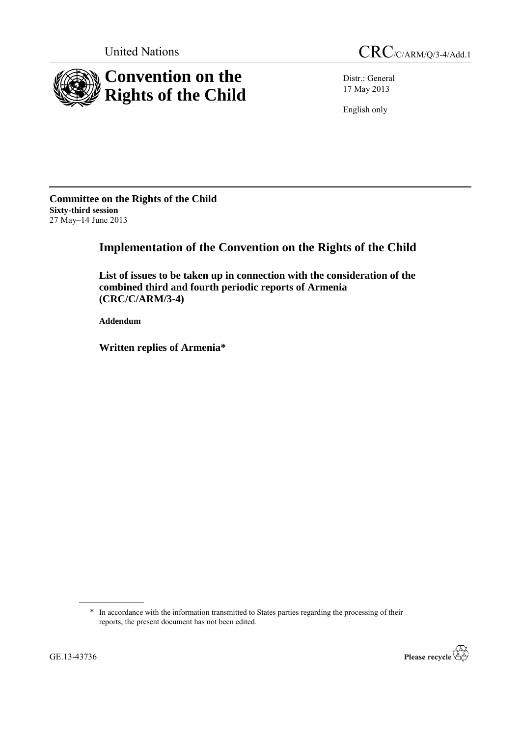

Distr.: General 17 May 2013

English only

**Committee on the Rights of the Child Sixty-third session** 27 May–14 June 2013

# **Implementation of the Convention on the Rights of the Child**

**List of issues to be taken up in connection with the consideration of the combined third and fourth periodic reports of Armenia (CRC/C/ARM/3-4)**

**Addendum**

**Written replies of Armenia\***

\* In accordance with the information transmitted to States parties regarding the processing of their reports, the present document has not been edited.

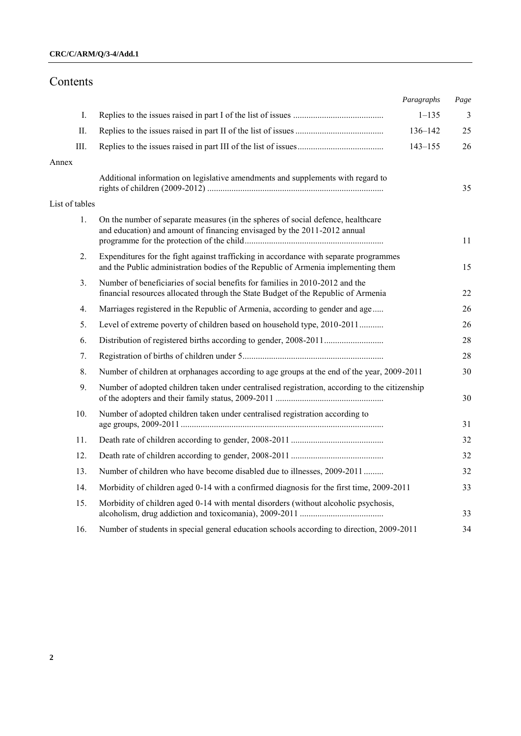# Contents

|                |                                                                                                                                                                            | Paragraphs  | Page           |
|----------------|----------------------------------------------------------------------------------------------------------------------------------------------------------------------------|-------------|----------------|
| I.             |                                                                                                                                                                            | $1 - 135$   | $\overline{3}$ |
| II.            |                                                                                                                                                                            | 136-142     | 25             |
| III.           |                                                                                                                                                                            | $143 - 155$ | 26             |
| Annex          |                                                                                                                                                                            |             |                |
|                | Additional information on legislative amendments and supplements with regard to                                                                                            |             | 35             |
| List of tables |                                                                                                                                                                            |             |                |
| 1.             | On the number of separate measures (in the spheres of social defence, healthcare<br>and education) and amount of financing envisaged by the 2011-2012 annual               |             | 11             |
| 2.             | Expenditures for the fight against trafficking in accordance with separate programmes<br>and the Public administration bodies of the Republic of Armenia implementing them |             | 15             |
| 3.             | Number of beneficiaries of social benefits for families in 2010-2012 and the<br>financial resources allocated through the State Budget of the Republic of Armenia          |             | 22             |
| 4.             | Marriages registered in the Republic of Armenia, according to gender and age                                                                                               |             | 26             |
| 5.             | Level of extreme poverty of children based on household type, 2010-2011                                                                                                    |             | 26             |
| 6.             |                                                                                                                                                                            |             | 28             |
| 7.             |                                                                                                                                                                            |             | 28             |
| 8.             | Number of children at orphanages according to age groups at the end of the year, 2009-2011                                                                                 |             | 30             |
| 9.             | Number of adopted children taken under centralised registration, according to the citizenship                                                                              |             | 30             |
| 10.            | Number of adopted children taken under centralised registration according to                                                                                               |             | 31             |
| 11.            |                                                                                                                                                                            |             | 32             |
| 12.            |                                                                                                                                                                            |             | 32             |
| 13.            | Number of children who have become disabled due to illnesses, 2009-2011                                                                                                    |             | 32             |
| 14.            | Morbidity of children aged 0-14 with a confirmed diagnosis for the first time, 2009-2011                                                                                   |             | 33             |
| 15.            | Morbidity of children aged 0-14 with mental disorders (without alcoholic psychosis,                                                                                        |             | 33             |
| 16.            | Number of students in special general education schools according to direction, 2009-2011                                                                                  |             | 34             |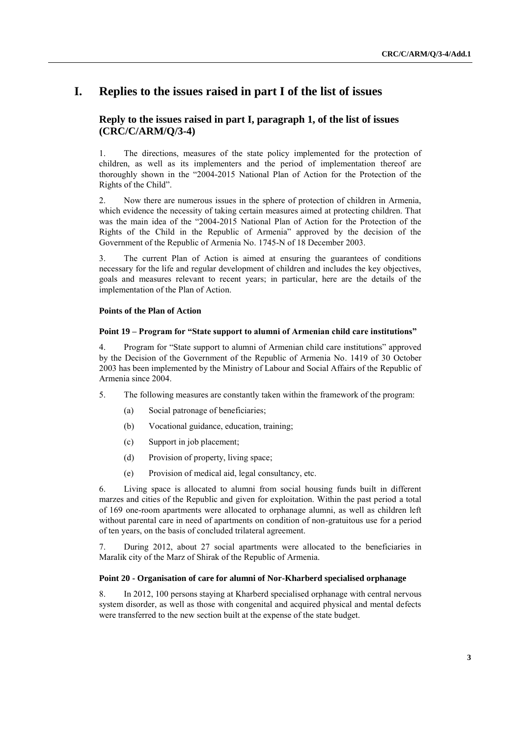# **I. Replies to the issues raised in part I of the list of issues**

# **Reply to the issues raised in part I, paragraph 1, of the list of issues (CRC/C/ARM/Q/3-4)**

1. The directions, measures of the state policy implemented for the protection of children, as well as its implementers and the period of implementation thereof are thoroughly shown in the "2004-2015 National Plan of Action for the Protection of the Rights of the Child".

2. Now there are numerous issues in the sphere of protection of children in Armenia, which evidence the necessity of taking certain measures aimed at protecting children. That was the main idea of the "2004-2015 National Plan of Action for the Protection of the Rights of the Child in the Republic of Armenia" approved by the decision of the Government of the Republic of Armenia No. 1745-N of 18 December 2003.

3. The current Plan of Action is aimed at ensuring the guarantees of conditions necessary for the life and regular development of children and includes the key objectives, goals and measures relevant to recent years; in particular, here are the details of the implementation of the Plan of Action.

## **Points of the Plan of Action**

## **Point 19 – Program for "State support to alumni of Armenian child care institutions"**

4. Program for "State support to alumni of Armenian child care institutions" approved by the Decision of the Government of the Republic of Armenia No. 1419 of 30 October 2003 has been implemented by the Ministry of Labour and Social Affairs of the Republic of Armenia since 2004.

- 5. The following measures are constantly taken within the framework of the program:
	- (a) Social patronage of beneficiaries;
	- (b) Vocational guidance, education, training;
	- (c) Support in job placement;
	- (d) Provision of property, living space;
	- (e) Provision of medical aid, legal consultancy, etc.

6. Living space is allocated to alumni from social housing funds built in different marzes and cities of the Republic and given for exploitation. Within the past period a total of 169 one-room apartments were allocated to orphanage alumni, as well as children left without parental care in need of apartments on condition of non-gratuitous use for a period of ten years, on the basis of concluded trilateral agreement.

7. During 2012, about 27 social apartments were allocated to the beneficiaries in Maralik city of the Marz of Shirak of the Republic of Armenia.

#### **Point 20 - Organisation of care for alumni of Nor-Kharberd specialised orphanage**

8. In 2012, 100 persons staying at Kharberd specialised orphanage with central nervous system disorder, as well as those with congenital and acquired physical and mental defects were transferred to the new section built at the expense of the state budget.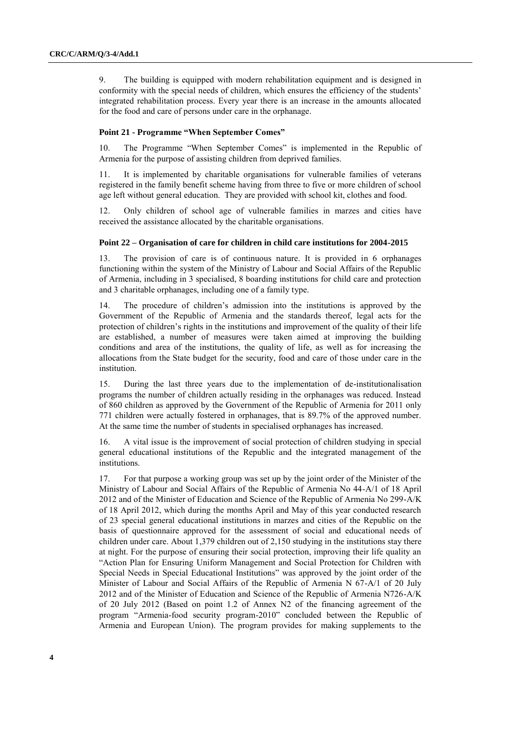9. The building is equipped with modern rehabilitation equipment and is designed in conformity with the special needs of children, which ensures the efficiency of the students' integrated rehabilitation process. Every year there is an increase in the amounts allocated for the food and care of persons under care in the orphanage.

#### **Point 21 - Programme "When September Comes"**

10. The Programme "When September Comes" is implemented in the Republic of Armenia for the purpose of assisting children from deprived families.

11. It is implemented by charitable organisations for vulnerable families of veterans registered in the family benefit scheme having from three to five or more children of school age left without general education. They are provided with school kit, clothes and food.

12. Only children of school age of vulnerable families in marzes and cities have received the assistance allocated by the charitable organisations.

#### **Point 22 – Organisation of care for children in child care institutions for 2004-2015**

13. The provision of care is of continuous nature. It is provided in 6 orphanages functioning within the system of the Ministry of Labour and Social Affairs of the Republic of Armenia, including in 3 specialised, 8 boarding institutions for child care and protection and 3 charitable orphanages, including one of a family type.

14. The procedure of children's admission into the institutions is approved by the Government of the Republic of Armenia and the standards thereof, legal acts for the protection of children's rights in the institutions and improvement of the quality of their life are established, a number of measures were taken aimed at improving the building conditions and area of the institutions, the quality of life, as well as for increasing the allocations from the State budget for the security, food and care of those under care in the institution.

15. During the last three years due to the implementation of de-institutionalisation programs the number of children actually residing in the orphanages was reduced. Instead of 860 children as approved by the Government of the Republic of Armenia for 2011 only 771 children were actually fostered in orphanages, that is 89.7% of the approved number. At the same time the number of students in specialised orphanages has increased.

16. A vital issue is the improvement of social protection of children studying in special general educational institutions of the Republic and the integrated management of the institutions.

17. For that purpose a working group was set up by the joint order of the Minister of the Ministry of Labour and Social Affairs of the Republic of Armenia No 44-A/1 of 18 April 2012 and of the Minister of Education and Science of the Republic of Armenia No 299-A/K of 18 April 2012, which during the months April and May of this year conducted research of 23 special general educational institutions in marzes and cities of the Republic on the basis of questionnaire approved for the assessment of social and educational needs of children under care. About 1,379 children out of 2,150 studying in the institutions stay there at night. For the purpose of ensuring their social protection, improving their life quality an "Action Plan for Ensuring Uniform Management and Social Protection for Children with Special Needs in Special Educational Institutions" was approved by the joint order of the Minister of Labour and Social Affairs of the Republic of Armenia N 67-A/1 of 20 July 2012 and of the Minister of Education and Science of the Republic of Armenia N726-A/K of 20 July 2012 (Based on point 1.2 of Annex N2 of the financing agreement of the program "Armenia-food security program-2010" concluded between the Republic of Armenia and European Union). The program provides for making supplements to the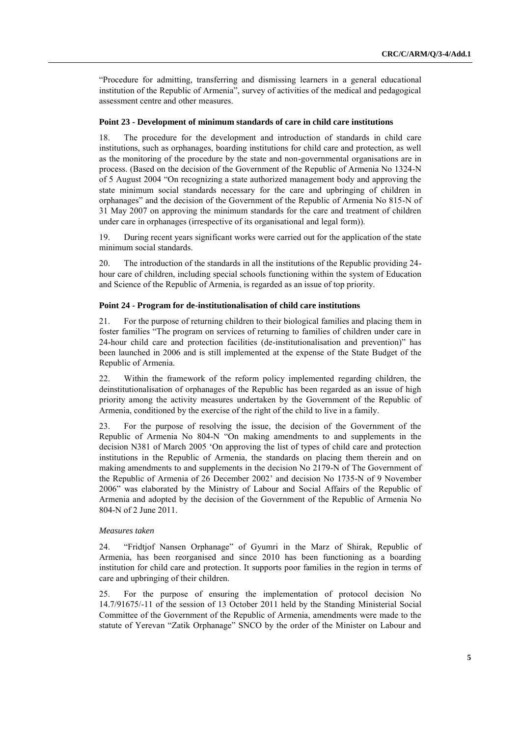―Procedure for admitting, transferring and dismissing learners in a general educational institution of the Republic of Armenia", survey of activities of the medical and pedagogical assessment centre and other measures.

#### **Point 23 - Development of minimum standards of care in child care institutions**

18. The procedure for the development and introduction of standards in child care institutions, such as orphanages, boarding institutions for child care and protection, as well as the monitoring of the procedure by the state and non-governmental organisations are in process. (Based on the decision of the Government of the Republic of Armenia No 1324-N of 5 August 2004 "On recognizing a state authorized management body and approving the state minimum social standards necessary for the care and upbringing of children in orphanages" and the decision of the Government of the Republic of Armenia No 815-N of 31 May 2007 on approving the minimum standards for the care and treatment of children under care in orphanages (irrespective of its organisational and legal form)).

19. During recent years significant works were carried out for the application of the state minimum social standards.

20. The introduction of the standards in all the institutions of the Republic providing 24 hour care of children, including special schools functioning within the system of Education and Science of the Republic of Armenia, is regarded as an issue of top priority.

## **Point 24 - Program for de-institutionalisation of child care institutions**

21. For the purpose of returning children to their biological families and placing them in foster families "The program on services of returning to families of children under care in 24-hour child care and protection facilities (de-institutionalisation and prevention)" has been launched in 2006 and is still implemented at the expense of the State Budget of the Republic of Armenia.

22. Within the framework of the reform policy implemented regarding children, the deinstitutionalisation of orphanages of the Republic has been regarded as an issue of high priority among the activity measures undertaken by the Government of the Republic of Armenia, conditioned by the exercise of the right of the child to live in a family.

23. For the purpose of resolving the issue, the decision of the Government of the Republic of Armenia No 804-N "On making amendments to and supplements in the decision N381 of March 2005 'On approving the list of types of child care and protection institutions in the Republic of Armenia, the standards on placing them therein and on making amendments to and supplements in the decision No 2179-N of The Government of the Republic of Armenia of 26 December 2002' and decision No 1735-N of 9 November 2006" was elaborated by the Ministry of Labour and Social Affairs of the Republic of Armenia and adopted by the decision of the Government of the Republic of Armenia No 804-N of 2 June 2011.

#### *Measures taken*

24. "Fridtjof Nansen Orphanage" of Gyumri in the Marz of Shirak, Republic of Armenia, has been reorganised and since 2010 has been functioning as a boarding institution for child care and protection. It supports poor families in the region in terms of care and upbringing of their children.

25. For the purpose of ensuring the implementation of protocol decision No 14.7/91675/-11 of the session of 13 October 2011 held by the Standing Ministerial Social Committee of the Government of the Republic of Armenia, amendments were made to the statute of Yerevan "Zatik Orphanage" SNCO by the order of the Minister on Labour and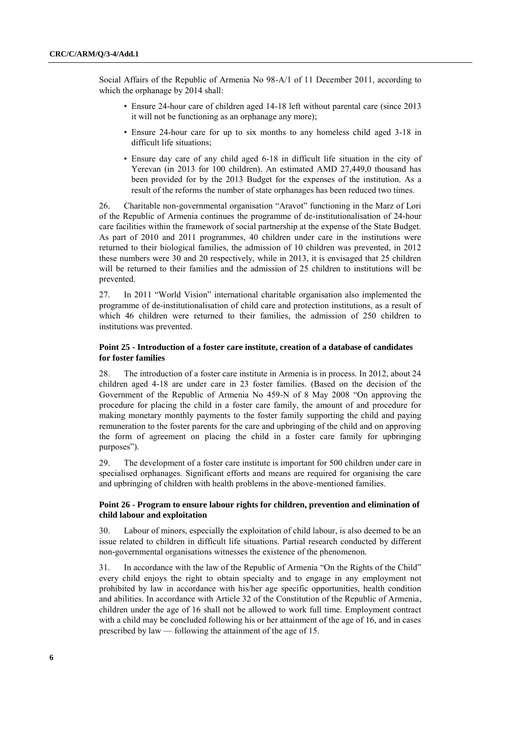Social Affairs of the Republic of Armenia No 98-A/1 of 11 December 2011, according to which the orphanage by 2014 shall:

- Ensure 24-hour care of children aged 14-18 left without parental care (since 2013 it will not be functioning as an orphanage any more);
- Ensure 24-hour care for up to six months to any homeless child aged 3-18 in difficult life situations;
- Ensure day care of any child aged 6-18 in difficult life situation in the city of Yerevan (in 2013 for 100 children). An estimated AMD 27,449,0 thousand has been provided for by the 2013 Budget for the expenses of the institution. As a result of the reforms the number of state orphanages has been reduced two times.

26. Charitable non-governmental organisation "Aravot" functioning in the Marz of Lori of the Republic of Armenia continues the programme of de-institutionalisation of 24-hour care facilities within the framework of social partnership at the expense of the State Budget. As part of 2010 and 2011 programmes, 40 children under care in the institutions were returned to their biological families, the admission of 10 children was prevented, in 2012 these numbers were 30 and 20 respectively, while in 2013, it is envisaged that 25 children will be returned to their families and the admission of 25 children to institutions will be prevented.

27. In 2011 "World Vision" international charitable organisation also implemented the programme of de-institutionalisation of child care and protection institutions, as a result of which 46 children were returned to their families, the admission of 250 children to institutions was prevented.

### **Point 25 - Introduction of a foster care institute, creation of a database of candidates for foster families**

28. The introduction of a foster care institute in Armenia is in process. In 2012, about 24 children aged 4-18 are under care in 23 foster families. (Based on the decision of the Government of the Republic of Armenia No 459-N of 8 May 2008 "On approving the procedure for placing the child in a foster care family, the amount of and procedure for making monetary monthly payments to the foster family supporting the child and paying remuneration to the foster parents for the care and upbringing of the child and on approving the form of agreement on placing the child in a foster care family for upbringing purposes").

29. The development of a foster care institute is important for 500 children under care in specialised orphanages. Significant efforts and means are required for organising the care and upbringing of children with health problems in the above-mentioned families.

### **Point 26 - Program to ensure labour rights for children, prevention and elimination of child labour and exploitation**

30. Labour of minors, especially the exploitation of child labour, is also deemed to be an issue related to children in difficult life situations. Partial research conducted by different non-governmental organisations witnesses the existence of the phenomenon.

31. In accordance with the law of the Republic of Armenia "On the Rights of the Child" every child enjoys the right to obtain specialty and to engage in any employment not prohibited by law in accordance with his/her age specific opportunities, health condition and abilities. In accordance with Article 32 of the Constitution of the Republic of Armenia, children under the age of 16 shall not be allowed to work full time. Employment contract with a child may be concluded following his or her attainment of the age of 16, and in cases prescribed by law — following the attainment of the age of 15.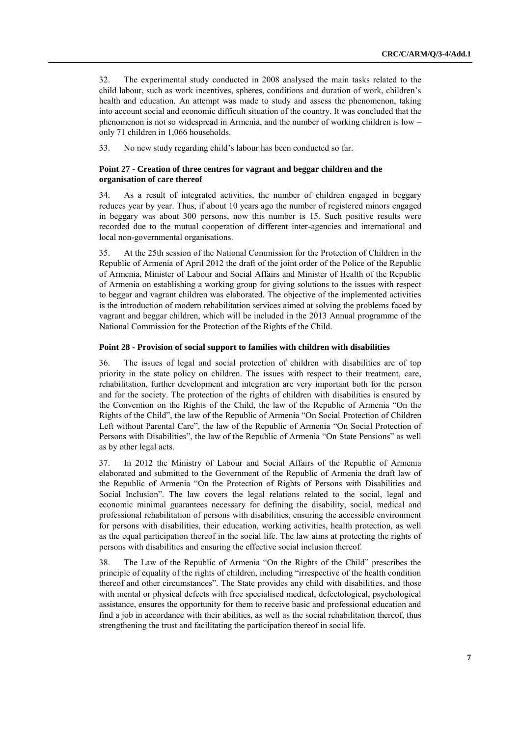32. The experimental study conducted in 2008 analysed the main tasks related to the child labour, such as work incentives, spheres, conditions and duration of work, children's health and education. An attempt was made to study and assess the phenomenon, taking into account social and economic difficult situation of the country. It was concluded that the phenomenon is not so widespread in Armenia, and the number of working children is low – only 71 children in 1,066 households.

33. No new study regarding child's labour has been conducted so far.

## **Point 27 - Creation of three centres for vagrant and beggar children and the organisation of care thereof**

34. As a result of integrated activities, the number of children engaged in beggary reduces year by year. Thus, if about 10 years ago the number of registered minors engaged in beggary was about 300 persons, now this number is 15. Such positive results were recorded due to the mutual cooperation of different inter-agencies and international and local non-governmental organisations.

35. At the 25th session of the National Commission for the Protection of Children in the Republic of Armenia of April 2012 the draft of the joint order of the Police of the Republic of Armenia, Minister of Labour and Social Affairs and Minister of Health of the Republic of Armenia on establishing a working group for giving solutions to the issues with respect to beggar and vagrant children was elaborated. The objective of the implemented activities is the introduction of modern rehabilitation services aimed at solving the problems faced by vagrant and beggar children, which will be included in the 2013 Annual programme of the National Commission for the Protection of the Rights of the Child.

#### **Point 28 - Provision of social support to families with children with disabilities**

36. The issues of legal and social protection of children with disabilities are of top priority in the state policy on children. The issues with respect to their treatment, care, rehabilitation, further development and integration are very important both for the person and for the society. The protection of the rights of children with disabilities is ensured by the Convention on the Rights of the Child, the law of the Republic of Armenia "On the Rights of the Child", the law of the Republic of Armenia "On Social Protection of Children Left without Parental Care", the law of the Republic of Armenia "On Social Protection of Persons with Disabilities", the law of the Republic of Armenia "On State Pensions" as well as by other legal acts.

37. In 2012 the Ministry of Labour and Social Affairs of the Republic of Armenia elaborated and submitted to the Government of the Republic of Armenia the draft law of the Republic of Armenia "On the Protection of Rights of Persons with Disabilities and Social Inclusion". The law covers the legal relations related to the social, legal and economic minimal guarantees necessary for defining the disability, social, medical and professional rehabilitation of persons with disabilities, ensuring the accessible environment for persons with disabilities, their education, working activities, health protection, as well as the equal participation thereof in the social life. The law aims at protecting the rights of persons with disabilities and ensuring the effective social inclusion thereof.

38. The Law of the Republic of Armenia "On the Rights of the Child" prescribes the principle of equality of the rights of children, including "irrespective of the health condition thereof and other circumstances". The State provides any child with disabilities, and those with mental or physical defects with free specialised medical, defectological, psychological assistance, ensures the opportunity for them to receive basic and professional education and find a job in accordance with their abilities, as well as the social rehabilitation thereof, thus strengthening the trust and facilitating the participation thereof in social life.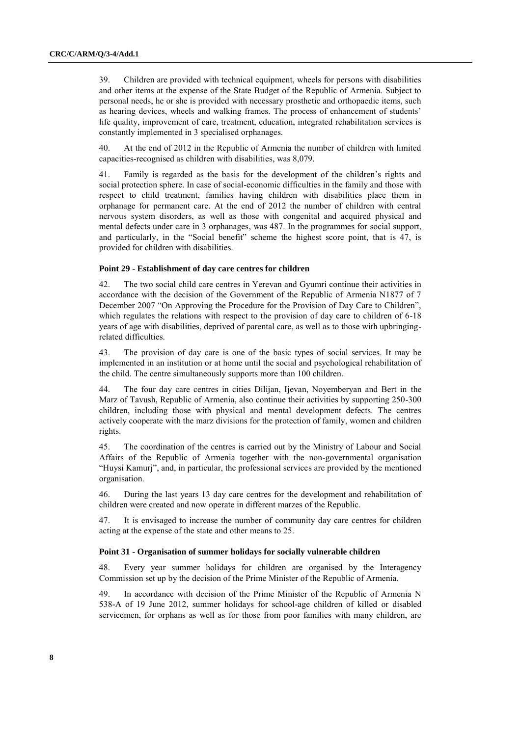39. Children are provided with technical equipment, wheels for persons with disabilities and other items at the expense of the State Budget of the Republic of Armenia. Subject to personal needs, he or she is provided with necessary prosthetic and orthopaedic items, such as hearing devices, wheels and walking frames. The process of enhancement of students' life quality, improvement of care, treatment, education, integrated rehabilitation services is constantly implemented in 3 specialised orphanages.

40. At the end of 2012 in the Republic of Armenia the number of children with limited capacities-recognised as children with disabilities, was 8,079.

41. Family is regarded as the basis for the development of the children's rights and social protection sphere. In case of social-economic difficulties in the family and those with respect to child treatment, families having children with disabilities place them in orphanage for permanent care. At the end of 2012 the number of children with central nervous system disorders, as well as those with congenital and acquired physical and mental defects under care in 3 orphanages, was 487. In the programmes for social support, and particularly, in the "Social benefit" scheme the highest score point, that is 47, is provided for children with disabilities.

#### **Point 29 - Establishment of day care centres for children**

42. The two social child care centres in Yerevan and Gyumri continue their activities in accordance with the decision of the Government of the Republic of Armenia N1877 of 7 December 2007 "On Approving the Procedure for the Provision of Day Care to Children", which regulates the relations with respect to the provision of day care to children of 6-18 years of age with disabilities, deprived of parental care, as well as to those with upbringingrelated difficulties.

43. The provision of day care is one of the basic types of social services. It may be implemented in an institution or at home until the social and psychological rehabilitation of the child. The centre simultaneously supports more than 100 children.

44. The four day care centres in cities Dilijan, Ijevan, Noyemberyan and Bert in the Marz of Tavush, Republic of Armenia, also continue their activities by supporting 250-300 children, including those with physical and mental development defects. The centres actively cooperate with the marz divisions for the protection of family, women and children rights.

45. The coordination of the centres is carried out by the Ministry of Labour and Social Affairs of the Republic of Armenia together with the non-governmental organisation ―Huysi Kamurj‖, and, in particular, the professional services are provided by the mentioned organisation.

46. During the last years 13 day care centres for the development and rehabilitation of children were created and now operate in different marzes of the Republic.

47. It is envisaged to increase the number of community day care centres for children acting at the expense of the state and other means to 25.

## **Point 31 - Organisation of summer holidays for socially vulnerable children**

48. Every year summer holidays for children are organised by the Interagency Commission set up by the decision of the Prime Minister of the Republic of Armenia.

49. In accordance with decision of the Prime Minister of the Republic of Armenia N 538-A of 19 June 2012, summer holidays for school-age children of killed or disabled servicemen, for orphans as well as for those from poor families with many children, are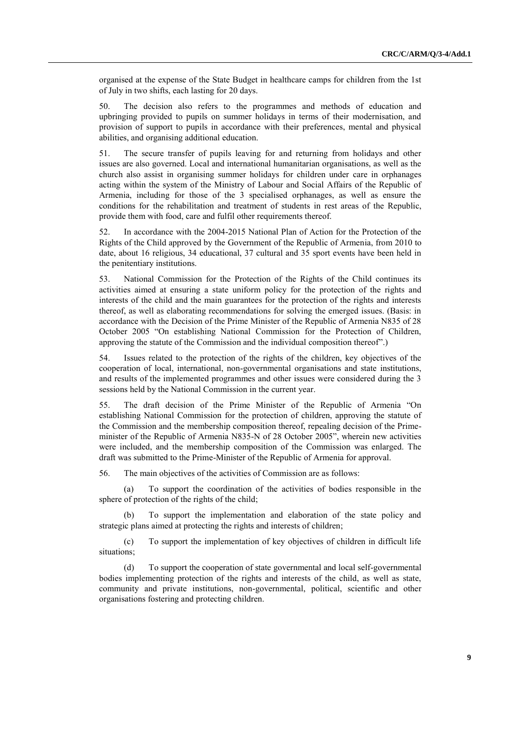organised at the expense of the State Budget in healthcare camps for children from the 1st of July in two shifts, each lasting for 20 days.

50. The decision also refers to the programmes and methods of education and upbringing provided to pupils on summer holidays in terms of their modernisation, and provision of support to pupils in accordance with their preferences, mental and physical abilities, and organising additional education.

51. The secure transfer of pupils leaving for and returning from holidays and other issues are also governed. Local and international humanitarian organisations, as well as the church also assist in organising summer holidays for children under care in orphanages acting within the system of the Ministry of Labour and Social Affairs of the Republic of Armenia, including for those of the 3 specialised orphanages, as well as ensure the conditions for the rehabilitation and treatment of students in rest areas of the Republic, provide them with food, care and fulfil other requirements thereof.

52. In accordance with the 2004-2015 National Plan of Action for the Protection of the Rights of the Child approved by the Government of the Republic of Armenia, from 2010 to date, about 16 religious, 34 educational, 37 cultural and 35 sport events have been held in the penitentiary institutions.

53. National Commission for the Protection of the Rights of the Child continues its activities aimed at ensuring a state uniform policy for the protection of the rights and interests of the child and the main guarantees for the protection of the rights and interests thereof, as well as elaborating recommendations for solving the emerged issues. (Basis: in accordance with the Decision of the Prime Minister of the Republic of Armenia N835 of 28 October 2005 "On establishing National Commission for the Protection of Children, approving the statute of the Commission and the individual composition thereof".)

54. Issues related to the protection of the rights of the children, key objectives of the cooperation of local, international, non-governmental organisations and state institutions, and results of the implemented programmes and other issues were considered during the 3 sessions held by the National Commission in the current year.

55. The draft decision of the Prime Minister of the Republic of Armenia "On establishing National Commission for the protection of children, approving the statute of the Commission and the membership composition thereof, repealing decision of the Primeminister of the Republic of Armenia N835-N of 28 October 2005", wherein new activities were included, and the membership composition of the Commission was enlarged. The draft was submitted to the Prime-Minister of the Republic of Armenia for approval.

56. The main objectives of the activities of Commission are as follows:

(a) To support the coordination of the activities of bodies responsible in the sphere of protection of the rights of the child;

(b) To support the implementation and elaboration of the state policy and strategic plans aimed at protecting the rights and interests of children;

(c) To support the implementation of key objectives of children in difficult life situations;

(d) To support the cooperation of state governmental and local self-governmental bodies implementing protection of the rights and interests of the child, as well as state, community and private institutions, non-governmental, political, scientific and other organisations fostering and protecting children.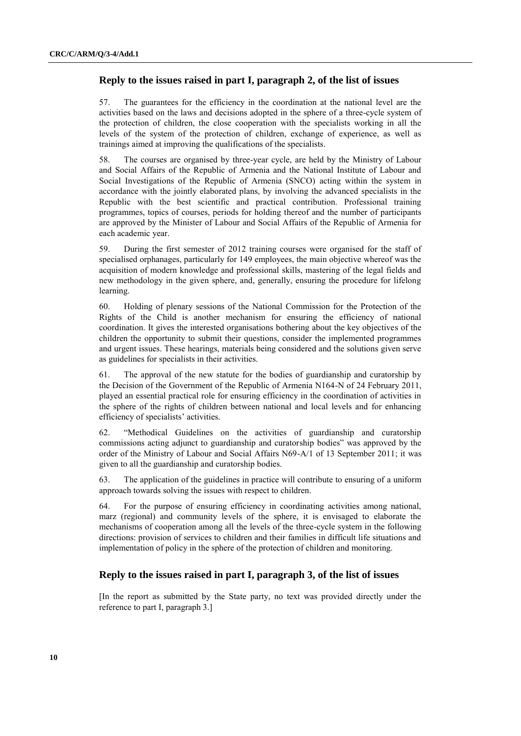# **Reply to the issues raised in part I, paragraph 2, of the list of issues**

57. The guarantees for the efficiency in the coordination at the national level are the activities based on the laws and decisions adopted in the sphere of a three-cycle system of the protection of children, the close cooperation with the specialists working in all the levels of the system of the protection of children, exchange of experience, as well as trainings aimed at improving the qualifications of the specialists.

58. The courses are organised by three-year cycle, are held by the Ministry of Labour and Social Affairs of the Republic of Armenia and the National Institute of Labour and Social Investigations of the Republic of Armenia (SNCO) acting within the system in accordance with the jointly elaborated plans, by involving the advanced specialists in the Republic with the best scientific and practical contribution. Professional training programmes, topics of courses, periods for holding thereof and the number of participants are approved by the Minister of Labour and Social Affairs of the Republic of Armenia for each academic year.

59. During the first semester of 2012 training courses were organised for the staff of specialised orphanages, particularly for 149 employees, the main objective whereof was the acquisition of modern knowledge and professional skills, mastering of the legal fields and new methodology in the given sphere, and, generally, ensuring the procedure for lifelong learning.

60. Holding of plenary sessions of the National Commission for the Protection of the Rights of the Child is another mechanism for ensuring the efficiency of national coordination. It gives the interested organisations bothering about the key objectives of the children the opportunity to submit their questions, consider the implemented programmes and urgent issues. These hearings, materials being considered and the solutions given serve as guidelines for specialists in their activities.

61. The approval of the new statute for the bodies of guardianship and curatorship by the Decision of the Government of the Republic of Armenia N164-N of 24 February 2011, played an essential practical role for ensuring efficiency in the coordination of activities in the sphere of the rights of children between national and local levels and for enhancing efficiency of specialists' activities.

62. 
"Methodical Guidelines on the activities of guardianship and curatorship commissions acting adjunct to guardianship and curatorship bodies" was approved by the order of the Ministry of Labour and Social Affairs N69-A/1 of 13 September 2011; it was given to all the guardianship and curatorship bodies.

63. The application of the guidelines in practice will contribute to ensuring of a uniform approach towards solving the issues with respect to children.

64. For the purpose of ensuring efficiency in coordinating activities among national, marz (regional) and community levels of the sphere, it is envisaged to elaborate the mechanisms of cooperation among all the levels of the three-cycle system in the following directions: provision of services to children and their families in difficult life situations and implementation of policy in the sphere of the protection of children and monitoring.

# **Reply to the issues raised in part I, paragraph 3, of the list of issues**

[In the report as submitted by the State party, no text was provided directly under the reference to part I, paragraph 3.]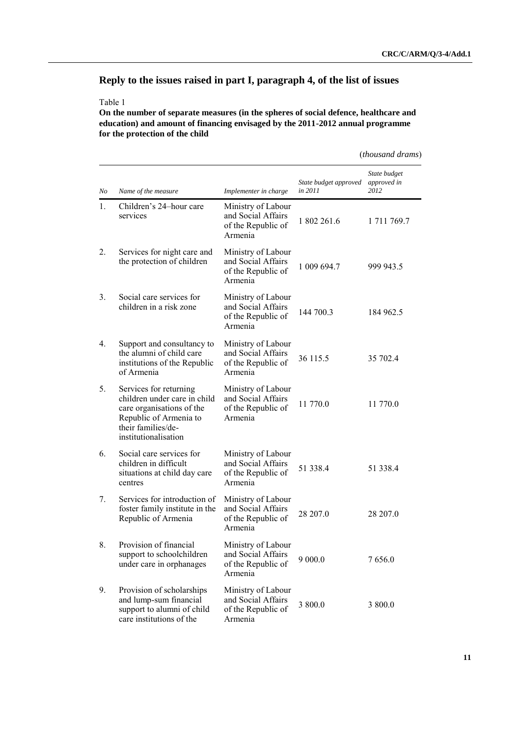(*thousand drams*)

# **Reply to the issues raised in part I, paragraph 4, of the list of issues**

## Table 1

**On the number of separate measures (in the spheres of social defence, healthcare and education) and amount of financing envisaged by the 2011-2012 annual programme for the protection of the child**

*No Name of the measure Implementer in charge State budget approved in 2011 State budget approved in 2012*  1. Children's 24–hour care services Ministry of Labour and Social Affairs of the Republic of Armenia 1 802 261.6 1 711 769.7 2. Services for night care and the protection of children Ministry of Labour and Social Affairs of the Republic of Armenia 1 009 694.7 999 943.5 3. Social care services for children in a risk zone Ministry of Labour and Social Affairs of the Republic of Armenia 144 700.3 184 962.5 4. Support and consultancy to the alumni of child care institutions of the Republic of Armenia Ministry of Labour and Social Affairs of the Republic of Armenia 36 115.5 35 702.4 5. Services for returning children under care in child care organisations of the Republic of Armenia to their families/deinstitutionalisation Ministry of Labour and Social Affairs of the Republic of Armenia 11 770.0 11 770.0 6. Social care services for children in difficult situations at child day care centres Ministry of Labour and Social Affairs of the Republic of Armenia 51 338.4 51 338.4 7. Services for introduction of foster family institute in the Republic of Armenia Ministry of Labour and Social Affairs of the Republic of Armenia 28 207.0 28 207.0 8. Provision of financial support to schoolchildren under care in orphanages Ministry of Labour and Social Affairs of the Republic of Armenia 9 000.0 7 656.0 9. Provision of scholarships and lump-sum financial support to alumni of child care institutions of the Ministry of Labour and Social Affairs of the Republic of Armenia 3 800.0 3 800.0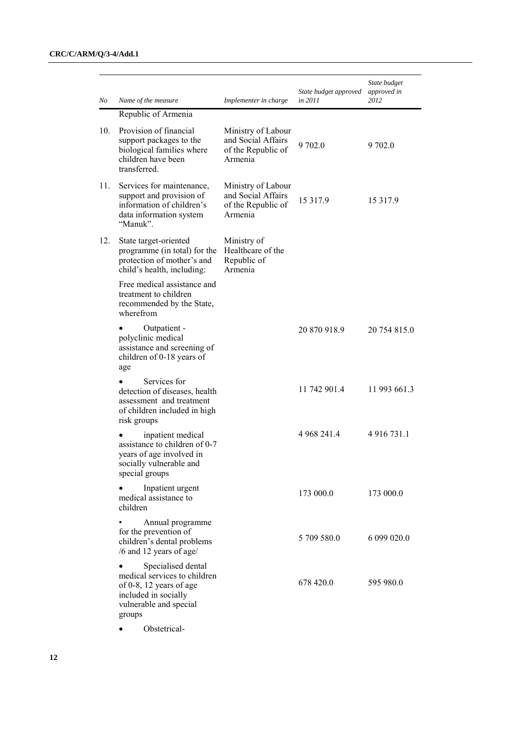|     |                                                                                                                                             |                                                                           | State budget approved | State budget<br>approved in |
|-----|---------------------------------------------------------------------------------------------------------------------------------------------|---------------------------------------------------------------------------|-----------------------|-----------------------------|
| No  | Name of the measure                                                                                                                         | Implementer in charge                                                     | in 2011               | 2012                        |
| 10. | Republic of Armenia<br>Provision of financial<br>support packages to the<br>biological families where<br>children have been<br>transferred. | Ministry of Labour<br>and Social Affairs<br>of the Republic of<br>Armenia | 9 702.0               | 9 702.0                     |
| 11. | Services for maintenance,<br>support and provision of<br>information of children's<br>data information system<br>"Manuk".                   | Ministry of Labour<br>and Social Affairs<br>of the Republic of<br>Armenia | 15 3 17.9             | 15 3 17.9                   |
| 12. | State target-oriented<br>programme (in total) for the<br>protection of mother's and<br>child's health, including:                           | Ministry of<br>Healthcare of the<br>Republic of<br>Armenia                |                       |                             |
|     | Free medical assistance and<br>treatment to children<br>recommended by the State,<br>wherefrom                                              |                                                                           |                       |                             |
|     | Outpatient -<br>polyclinic medical<br>assistance and screening of<br>children of 0-18 years of<br>age                                       |                                                                           | 20 870 918.9          | 20 754 815.0                |
|     | Services for<br>detection of diseases, health<br>assessment and treatment<br>of children included in high<br>risk groups                    |                                                                           | 11 742 901.4          | 11 993 661.3                |
|     | inpatient medical<br>assistance to children of 0-7<br>years of age involved in<br>socially vulnerable and<br>special groups                 |                                                                           | 4 968 241.4           | 4 9 1 6 7 3 1 .1            |
|     | Inpatient urgent<br>medical assistance to<br>children                                                                                       |                                                                           | 173 000.0             | 173 000.0                   |
|     | Annual programme<br>for the prevention of<br>children's dental problems<br>/6 and 12 years of age/                                          |                                                                           | 5 709 580.0           | 6 099 020.0                 |
|     | Specialised dental<br>medical services to children<br>of 0-8, 12 years of age<br>included in socially<br>vulnerable and special<br>groups   |                                                                           | 678 420.0             | 595 980.0                   |

Obstetrical-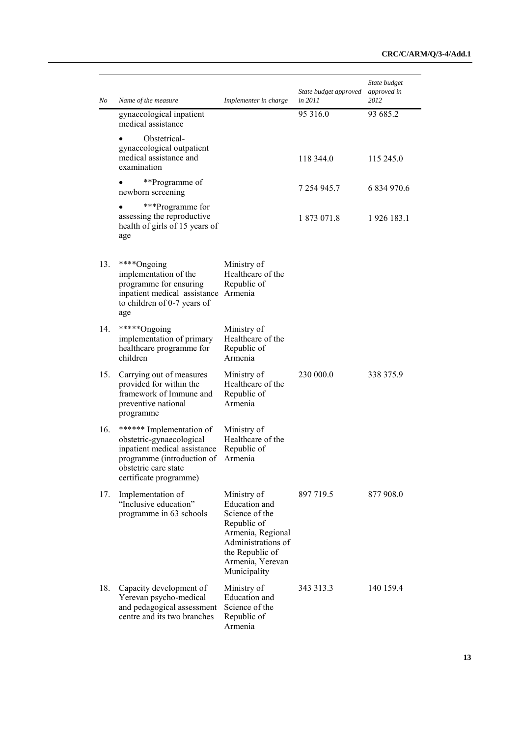| No  | Name of the measure                                                                                                                                                  | Implementer in charge                                                                                                                                           | State budget approved<br>in 2011 | State budget<br>approved in<br>2012 |
|-----|----------------------------------------------------------------------------------------------------------------------------------------------------------------------|-----------------------------------------------------------------------------------------------------------------------------------------------------------------|----------------------------------|-------------------------------------|
|     | gynaecological inpatient<br>medical assistance                                                                                                                       |                                                                                                                                                                 | 95 316.0                         | 93 685.2                            |
|     | Obstetrical-<br>gynaecological outpatient<br>medical assistance and<br>examination                                                                                   |                                                                                                                                                                 | 118 344.0                        | 115 245.0                           |
|     | **Programme of<br>newborn screening                                                                                                                                  |                                                                                                                                                                 | 7 254 945.7                      | 6 834 970.6                         |
|     | ***Programme for<br>assessing the reproductive<br>health of girls of 15 years of<br>age                                                                              |                                                                                                                                                                 | 1 873 071.8                      | 1926 183.1                          |
| 13. | ****Ongoing<br>implementation of the<br>programme for ensuring<br>inpatient medical assistance Armenia<br>to children of 0-7 years of<br>age                         | Ministry of<br>Healthcare of the<br>Republic of                                                                                                                 |                                  |                                     |
| 14. | *****Ongoing<br>implementation of primary<br>healthcare programme for<br>children                                                                                    | Ministry of<br>Healthcare of the<br>Republic of<br>Armenia                                                                                                      |                                  |                                     |
| 15. | Carrying out of measures<br>provided for within the<br>framework of Immune and<br>preventive national<br>programme                                                   | Ministry of<br>Healthcare of the<br>Republic of<br>Armenia                                                                                                      | 230 000.0                        | 338 375.9                           |
| 16. | ****** Implementation of<br>obstetric-gynaecological<br>inpatient medical assistance<br>programme (introduction of<br>obstetric care state<br>certificate programme) | Ministry of<br>Healthcare of the<br>Republic of<br>Armenia                                                                                                      |                                  |                                     |
| 17. | Implementation of<br>"Inclusive education"<br>programme in 63 schools                                                                                                | Ministry of<br>Education and<br>Science of the<br>Republic of<br>Armenia, Regional<br>Administrations of<br>the Republic of<br>Armenia, Yerevan<br>Municipality | 897 719.5                        | 877 908.0                           |
| 18. | Capacity development of<br>Yerevan psycho-medical<br>and pedagogical assessment<br>centre and its two branches                                                       | Ministry of<br>Education and<br>Science of the<br>Republic of<br>Armenia                                                                                        | 343 313.3                        | 140 159.4                           |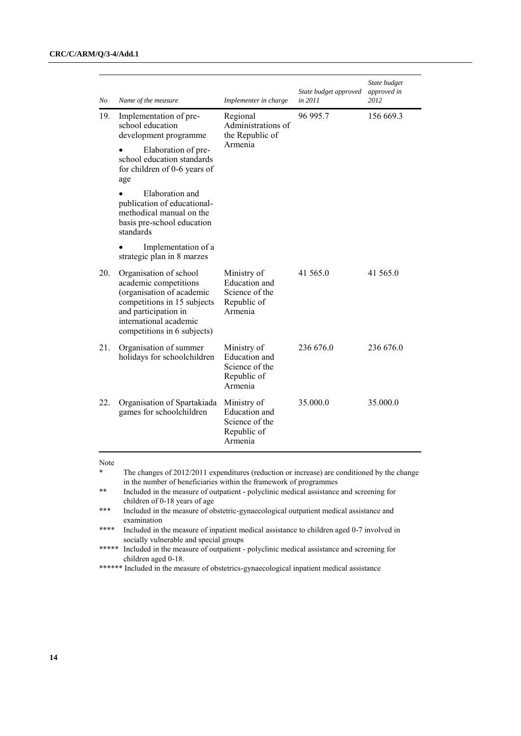| No  | Name of the measure                                                                                                                                                                          | Implementer in charge                                                           | State budget approved<br>in 2011 | State budget<br>approved in<br>2012 |
|-----|----------------------------------------------------------------------------------------------------------------------------------------------------------------------------------------------|---------------------------------------------------------------------------------|----------------------------------|-------------------------------------|
| 19. | Implementation of pre-<br>school education<br>development programme<br>Elaboration of pre-<br>school education standards<br>for children of 0-6 years of<br>age                              | Regional<br>Administrations of<br>the Republic of<br>Armenia                    | 96 995.7                         | 156 669.3                           |
|     | Elaboration and<br>publication of educational-<br>methodical manual on the<br>basis pre-school education<br>standards                                                                        |                                                                                 |                                  |                                     |
|     | Implementation of a<br>strategic plan in 8 marzes                                                                                                                                            |                                                                                 |                                  |                                     |
| 20. | Organisation of school<br>academic competitions<br>(organisation of academic<br>competitions in 15 subjects<br>and participation in<br>international academic<br>competitions in 6 subjects) | Ministry of<br><b>Education</b> and<br>Science of the<br>Republic of<br>Armenia | 41 565.0                         | 41 565.0                            |
| 21. | Organisation of summer<br>holidays for schoolchildren                                                                                                                                        | Ministry of<br>Education and<br>Science of the<br>Republic of<br>Armenia        | 236 676.0                        | 236 676.0                           |
| 22. | Organisation of Spartakiada<br>games for schoolchildren                                                                                                                                      | Ministry of<br><b>Education</b> and<br>Science of the<br>Republic of<br>Armenia | 35.000.0                         | 35.000.0                            |

Note

The changes of 2012/2011 expenditures (reduction or increase) are conditioned by the change in the number of beneficiaries within the framework of programmes

<sup>\*\*</sup> Included in the measure of outpatient - polyclinic medical assistance and screening for children of 0-18 years of age

<sup>\*\*\*</sup> Included in the measure of obstetric-gynaecological outpatient medical assistance and examination

<sup>\*\*\*\*</sup> Included in the measure of inpatient medical assistance to children aged 0-7 involved in socially vulnerable and special groups

<sup>\*\*\*\*\*</sup> Included in the measure of outpatient - polyclinic medical assistance and screening for children aged 0-18.

<sup>\*\*\*\*\*\*</sup> Included in the measure of obstetrics-gynaecological inpatient medical assistance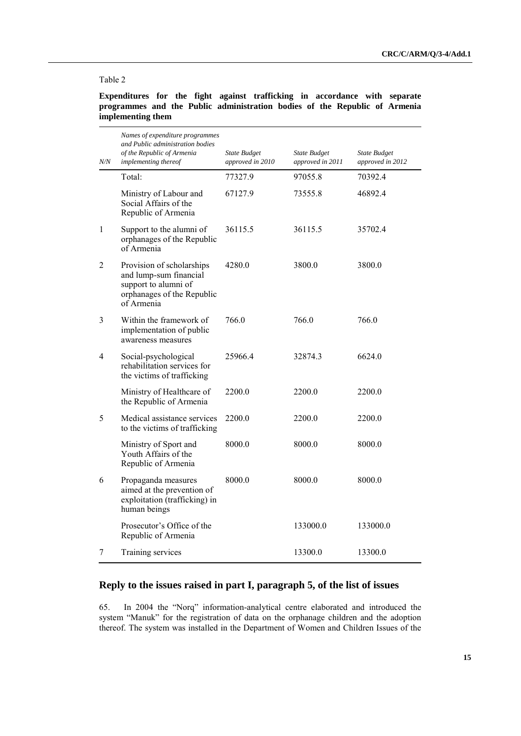#### Table 2

**Expenditures for the fight against trafficking in accordance with separate programmes and the Public administration bodies of the Republic of Armenia implementing them**

| N/N          | Names of expenditure programmes<br>and Public administration bodies<br>of the Republic of Armenia<br>implementing thereof | State Budget<br>approved in 2010 | <b>State Budget</b><br>approved in 2011 | <b>State Budget</b><br>approved in 2012 |
|--------------|---------------------------------------------------------------------------------------------------------------------------|----------------------------------|-----------------------------------------|-----------------------------------------|
|              | Total:                                                                                                                    | 77327.9                          | 97055.8                                 | 70392.4                                 |
|              | Ministry of Labour and<br>Social Affairs of the<br>Republic of Armenia                                                    | 67127.9                          | 73555.8                                 | 46892.4                                 |
| $\mathbf{1}$ | Support to the alumni of<br>orphanages of the Republic<br>of Armenia                                                      | 36115.5                          | 36115.5                                 | 35702.4                                 |
| 2            | Provision of scholarships<br>and lump-sum financial<br>support to alumni of<br>orphanages of the Republic<br>of Armenia   | 4280.0                           | 3800.0                                  | 3800.0                                  |
| 3            | Within the framework of<br>implementation of public<br>awareness measures                                                 | 766.0                            | 766.0                                   | 766.0                                   |
| 4            | Social-psychological<br>rehabilitation services for<br>the victims of trafficking                                         | 25966.4                          | 32874.3                                 | 6624.0                                  |
|              | Ministry of Healthcare of<br>the Republic of Armenia                                                                      | 2200.0                           | 2200.0                                  | 2200.0                                  |
| 5            | Medical assistance services<br>to the victims of trafficking                                                              | 2200.0                           | 2200.0                                  | 2200.0                                  |
|              | Ministry of Sport and<br>Youth Affairs of the<br>Republic of Armenia                                                      | 8000.0                           | 8000.0                                  | 8000.0                                  |
| 6            | Propaganda measures<br>aimed at the prevention of<br>exploitation (trafficking) in<br>human beings                        | 8000.0                           | 8000.0                                  | 8000.0                                  |
|              | Prosecutor's Office of the<br>Republic of Armenia                                                                         |                                  | 133000.0                                | 133000.0                                |
| 7            | Training services                                                                                                         |                                  | 13300.0                                 | 13300.0                                 |

# **Reply to the issues raised in part I, paragraph 5, of the list of issues**

65. In 2004 the "Norq" information-analytical centre elaborated and introduced the system "Manuk" for the registration of data on the orphanage children and the adoption thereof. The system was installed in the Department of Women and Children Issues of the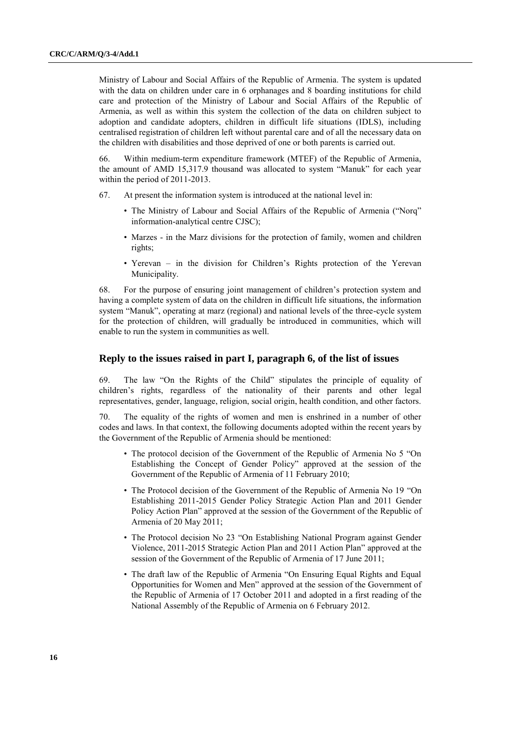Ministry of Labour and Social Affairs of the Republic of Armenia. The system is updated with the data on children under care in 6 orphanages and 8 boarding institutions for child care and protection of the Ministry of Labour and Social Affairs of the Republic of Armenia, as well as within this system the collection of the data on children subject to adoption and candidate adopters, children in difficult life situations (IDLS), including centralised registration of children left without parental care and of all the necessary data on the children with disabilities and those deprived of one or both parents is carried out.

66. Within medium-term expenditure framework (MTEF) of the Republic of Armenia, the amount of AMD 15,317.9 thousand was allocated to system "Manuk" for each year within the period of 2011-2013.

- 67. At present the information system is introduced at the national level in:
	- The Ministry of Labour and Social Affairs of the Republic of Armenia ("Norq" information-analytical centre CJSC);
	- Marzes in the Marz divisions for the protection of family, women and children rights;
	- Yerevan in the division for Children's Rights protection of the Yerevan Municipality.

68. For the purpose of ensuring joint management of children's protection system and having a complete system of data on the children in difficult life situations, the information system "Manuk", operating at marz (regional) and national levels of the three-cycle system for the protection of children, will gradually be introduced in communities, which will enable to run the system in communities as well.

# **Reply to the issues raised in part I, paragraph 6, of the list of issues**

69. The law "On the Rights of the Child" stipulates the principle of equality of children's rights, regardless of the nationality of their parents and other legal representatives, gender, language, religion, social origin, health condition, and other factors.

70. The equality of the rights of women and men is enshrined in a number of other codes and laws. In that context, the following documents adopted within the recent years by the Government of the Republic of Armenia should be mentioned:

- The protocol decision of the Government of the Republic of Armenia No 5 "On Establishing the Concept of Gender Policy" approved at the session of the Government of the Republic of Armenia of 11 February 2010;
- The Protocol decision of the Government of the Republic of Armenia No 19 "On Establishing 2011-2015 Gender Policy Strategic Action Plan and 2011 Gender Policy Action Plan" approved at the session of the Government of the Republic of Armenia of 20 May 2011;
- The Protocol decision No 23 "On Establishing National Program against Gender Violence, 2011-2015 Strategic Action Plan and 2011 Action Plan" approved at the session of the Government of the Republic of Armenia of 17 June 2011;
- The draft law of the Republic of Armenia "On Ensuring Equal Rights and Equal Opportunities for Women and Men" approved at the session of the Government of the Republic of Armenia of 17 October 2011 and adopted in a first reading of the National Assembly of the Republic of Armenia on 6 February 2012.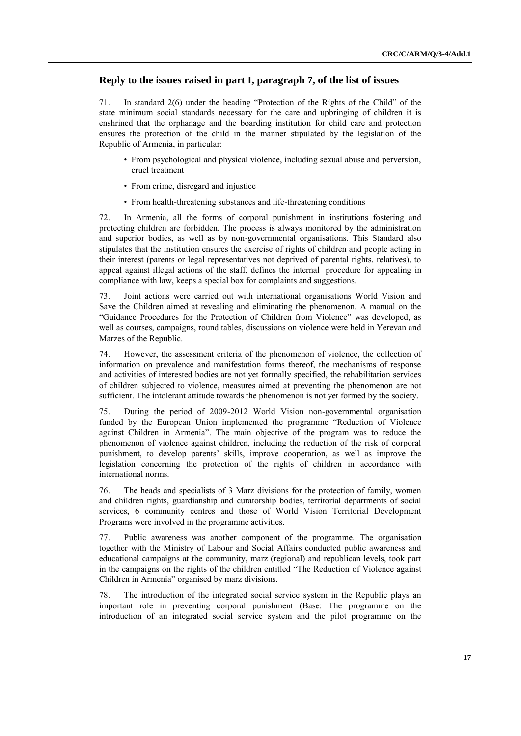# **Reply to the issues raised in part I, paragraph 7, of the list of issues**

71. In standard  $2(6)$  under the heading "Protection of the Rights of the Child" of the state minimum social standards necessary for the care and upbringing of children it is enshrined that the orphanage and the boarding institution for child care and protection ensures the protection of the child in the manner stipulated by the legislation of the Republic of Armenia, in particular:

- From psychological and physical violence, including sexual abuse and perversion, cruel treatment
- From crime, disregard and injustice
- From health-threatening substances and life-threatening conditions

72. In Armenia, all the forms of corporal punishment in institutions fostering and protecting children are forbidden. The process is always monitored by the administration and superior bodies, as well as by non-governmental organisations. This Standard also stipulates that the institution ensures the exercise of rights of children and people acting in their interest (parents or legal representatives not deprived of parental rights, relatives), to appeal against illegal actions of the staff, defines the internal procedure for appealing in compliance with law, keeps a special box for complaints and suggestions.

73. Joint actions were carried out with international organisations World Vision and Save the Children aimed at revealing and eliminating the phenomenon. A manual on the ―Guidance Procedures for the Protection of Children from Violence‖ was developed, as well as courses, campaigns, round tables, discussions on violence were held in Yerevan and Marzes of the Republic.

74. However, the assessment criteria of the phenomenon of violence, the collection of information on prevalence and manifestation forms thereof, the mechanisms of response and activities of interested bodies are not yet formally specified, the rehabilitation services of children subjected to violence, measures aimed at preventing the phenomenon are not sufficient. The intolerant attitude towards the phenomenon is not yet formed by the society.

75. During the period of 2009-2012 World Vision non-governmental organisation funded by the European Union implemented the programme "Reduction of Violence" against Children in Armenia". The main objective of the program was to reduce the phenomenon of violence against children, including the reduction of the risk of corporal punishment, to develop parents' skills, improve cooperation, as well as improve the legislation concerning the protection of the rights of children in accordance with international norms.

76. The heads and specialists of 3 Marz divisions for the protection of family, women and children rights, guardianship and curatorship bodies, territorial departments of social services, 6 community centres and those of World Vision Territorial Development Programs were involved in the programme activities.

77. Public awareness was another component of the programme. The organisation together with the Ministry of Labour and Social Affairs conducted public awareness and educational campaigns at the community, marz (regional) and republican levels, took part in the campaigns on the rights of the children entitled "The Reduction of Violence against Children in Armenia" organised by marz divisions.

78. The introduction of the integrated social service system in the Republic plays an important role in preventing corporal punishment (Base: The programme on the introduction of an integrated social service system and the pilot programme on the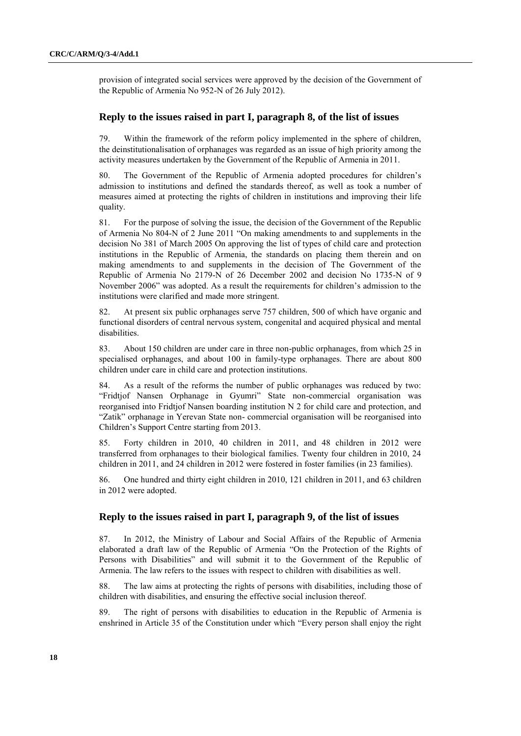provision of integrated social services were approved by the decision of the Government of the Republic of Armenia No 952-N of 26 July 2012).

## **Reply to the issues raised in part I, paragraph 8, of the list of issues**

79. Within the framework of the reform policy implemented in the sphere of children, the deinstitutionalisation of orphanages was regarded as an issue of high priority among the activity measures undertaken by the Government of the Republic of Armenia in 2011.

80. The Government of the Republic of Armenia adopted procedures for children's admission to institutions and defined the standards thereof, as well as took a number of measures aimed at protecting the rights of children in institutions and improving their life quality.

81. For the purpose of solving the issue, the decision of the Government of the Republic of Armenia No 804-N of 2 June 2011 "On making amendments to and supplements in the decision No 381 of March 2005 On approving the list of types of child care and protection institutions in the Republic of Armenia, the standards on placing them therein and on making amendments to and supplements in the decision of The Government of the Republic of Armenia No 2179-N of 26 December 2002 and decision No 1735-N of 9 November 2006" was adopted. As a result the requirements for children's admission to the institutions were clarified and made more stringent.

82. At present six public orphanages serve 757 children, 500 of which have organic and functional disorders of central nervous system, congenital and acquired physical and mental disabilities.

83. About 150 children are under care in three non-public orphanages, from which 25 in specialised orphanages, and about 100 in family-type orphanages. There are about 800 children under care in child care and protection institutions.

84. As a result of the reforms the number of public orphanages was reduced by two: "Fridtjof Nansen Orphanage in Gyumri" State non-commercial organisation was reorganised into Fridtjof Nansen boarding institution N 2 for child care and protection, and ―Zatik‖ orphanage in Yerevan State non- commercial organisation will be reorganised into Children's Support Centre starting from 2013.

85. Forty children in 2010, 40 children in 2011, and 48 children in 2012 were transferred from orphanages to their biological families. Twenty four children in 2010, 24 children in 2011, and 24 children in 2012 were fostered in foster families (in 23 families).

86. One hundred and thirty eight children in 2010, 121 children in 2011, and 63 children in 2012 were adopted.

# **Reply to the issues raised in part I, paragraph 9, of the list of issues**

87. In 2012, the Ministry of Labour and Social Affairs of the Republic of Armenia elaborated a draft law of the Republic of Armenia "On the Protection of the Rights of Persons with Disabilities" and will submit it to the Government of the Republic of Armenia. The law refers to the issues with respect to children with disabilities as well.

88. The law aims at protecting the rights of persons with disabilities, including those of children with disabilities, and ensuring the effective social inclusion thereof.

89. The right of persons with disabilities to education in the Republic of Armenia is enshrined in Article 35 of the Constitution under which "Every person shall enjoy the right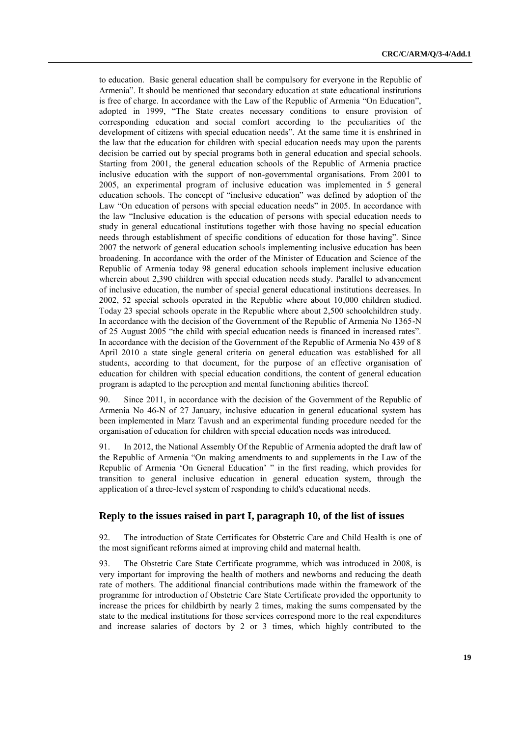to education. Basic general education shall be compulsory for everyone in the Republic of Armenia". It should be mentioned that secondary education at state educational institutions is free of charge. In accordance with the Law of the Republic of Armenia "On Education", adopted in 1999, "The State creates necessary conditions to ensure provision of corresponding education and social comfort according to the peculiarities of the development of citizens with special education needs". At the same time it is enshrined in the law that the education for children with special education needs may upon the parents decision be carried out by special programs both in general education and special schools. Starting from 2001, the general education schools of the Republic of Armenia practice inclusive education with the support of non-governmental organisations. From 2001 to 2005, an experimental program of inclusive education was implemented in 5 general education schools. The concept of "inclusive education" was defined by adoption of the Law "On education of persons with special education needs" in 2005. In accordance with the law "Inclusive education is the education of persons with special education needs to study in general educational institutions together with those having no special education needs through establishment of specific conditions of education for those having". Since 2007 the network of general education schools implementing inclusive education has been broadening. In accordance with the order of the Minister of Education and Science of the Republic of Armenia today 98 general education schools implement inclusive education wherein about 2,390 children with special education needs study. Parallel to advancement of inclusive education, the number of special general educational institutions decreases. In 2002, 52 special schools operated in the Republic where about 10,000 children studied. Today 23 special schools operate in the Republic where about 2,500 schoolchildren study. In accordance with the decision of the Government of the Republic of Armenia No 1365-N of 25 August 2005 "the child with special education needs is financed in increased rates". In accordance with the decision of the Government of the Republic of Armenia No 439 of 8 April 2010 a state single general criteria on general education was established for all students, according to that document, for the purpose of an effective organisation of education for children with special education conditions, the content of general education program is adapted to the perception and mental functioning abilities thereof.

90. Since 2011, in accordance with the decision of the Government of the Republic of Armenia No 46-N of 27 January, inclusive education in general educational system has been implemented in Marz Tavush and an experimental funding procedure needed for the organisation of education for children with special education needs was introduced.

91. In 2012, the National Assembly Of the Republic of Armenia adopted the draft law of the Republic of Armenia "On making amendments to and supplements in the Law of the Republic of Armenia 'On General Education' " in the first reading, which provides for transition to general inclusive education in general education system, through the application of a three-level system of responding to child's educational needs.

# **Reply to the issues raised in part I, paragraph 10, of the list of issues**

92. The introduction of State Certificates for Obstetric Care and Child Health is one of the most significant reforms aimed at improving child and maternal health.

93. The Obstetric Care State Certificate programme, which was introduced in 2008, is very important for improving the health of mothers and newborns and reducing the death rate of mothers. The additional financial contributions made within the framework of the programme for introduction of Obstetric Care State Certificate provided the opportunity to increase the prices for childbirth by nearly 2 times, making the sums compensated by the state to the medical institutions for those services correspond more to the real expenditures and increase salaries of doctors by 2 or 3 times, which highly contributed to the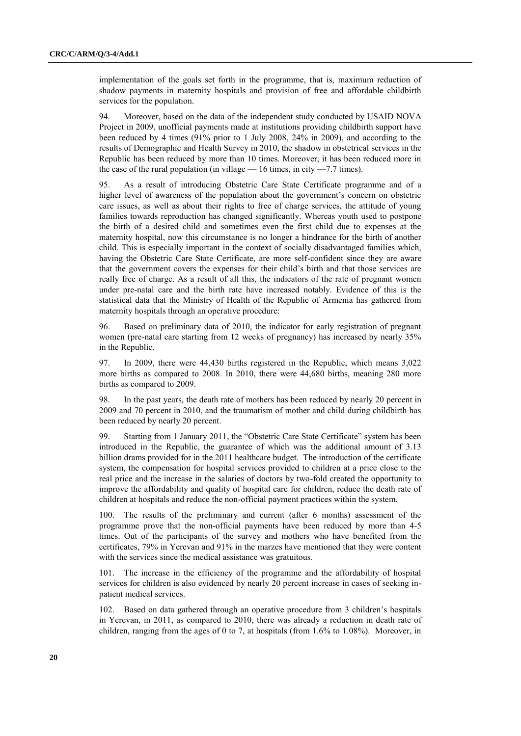implementation of the goals set forth in the programme, that is, maximum reduction of shadow payments in maternity hospitals and provision of free and affordable childbirth services for the population.

94. Moreover, based on the data of the independent study conducted by USAID NOVA Project in 2009, unofficial payments made at institutions providing childbirth support have been reduced by 4 times (91% prior to 1 July 2008, 24% in 2009), and according to the results of Demographic and Health Survey in 2010, the shadow in obstetrical services in the Republic has been reduced by more than 10 times. Moreover, it has been reduced more in the case of the rural population (in village  $-16$  times, in city  $-7.7$  times).

95. As a result of introducing Obstetric Care State Certificate programme and of a higher level of awareness of the population about the government's concern on obstetric care issues, as well as about their rights to free of charge services, the attitude of young families towards reproduction has changed significantly. Whereas youth used to postpone the birth of a desired child and sometimes even the first child due to expenses at the maternity hospital, now this circumstance is no longer a hindrance for the birth of another child. This is especially important in the context of socially disadvantaged families which, having the Obstetric Care State Certificate, are more self-confident since they are aware that the government covers the expenses for their child's birth and that those services are really free of charge. As a result of all this, the indicators of the rate of pregnant women under pre-natal care and the birth rate have increased notably. Evidence of this is the statistical data that the Ministry of Health of the Republic of Armenia has gathered from maternity hospitals through an operative procedure:

96. Based on preliminary data of 2010, the indicator for early registration of pregnant women (pre-natal care starting from 12 weeks of pregnancy) has increased by nearly 35% in the Republic.

97. In 2009, there were 44,430 births registered in the Republic, which means 3,022 more births as compared to 2008. In 2010, there were 44,680 births, meaning 280 more births as compared to 2009.

98. In the past years, the death rate of mothers has been reduced by nearly 20 percent in 2009 and 70 percent in 2010, and the traumatism of mother and child during childbirth has been reduced by nearly 20 percent.

99. Starting from 1 January 2011, the "Obstetric Care State Certificate" system has been introduced in the Republic, the guarantee of which was the additional amount of 3.13 billion drams provided for in the 2011 healthcare budget. The introduction of the certificate system, the compensation for hospital services provided to children at a price close to the real price and the increase in the salaries of doctors by two-fold created the opportunity to improve the affordability and quality of hospital care for children, reduce the death rate of children at hospitals and reduce the non-official payment practices within the system.

100. The results of the preliminary and current (after 6 months) assessment of the programme prove that the non-official payments have been reduced by more than 4-5 times. Out of the participants of the survey and mothers who have benefited from the certificates, 79% in Yerevan and 91% in the marzes have mentioned that they were content with the services since the medical assistance was gratuitous.

101. The increase in the efficiency of the programme and the affordability of hospital services for children is also evidenced by nearly 20 percent increase in cases of seeking inpatient medical services.

102. Based on data gathered through an operative procedure from 3 children's hospitals in Yerevan, in 2011, as compared to 2010, there was already a reduction in death rate of children, ranging from the ages of 0 to 7, at hospitals (from  $1.6\%$  to  $1.08\%$ ). Moreover, in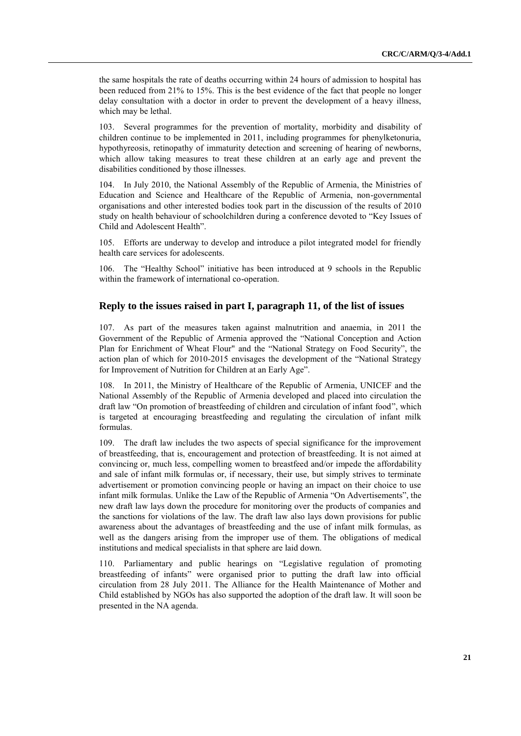the same hospitals the rate of deaths occurring within 24 hours of admission to hospital has been reduced from 21% to 15%. This is the best evidence of the fact that people no longer delay consultation with a doctor in order to prevent the development of a heavy illness, which may be lethal.

103. Several programmes for the prevention of mortality, morbidity and disability of children continue to be implemented in 2011, including programmes for phenylketonuria, hypothyreosis, retinopathy of immaturity detection and screening of hearing of newborns, which allow taking measures to treat these children at an early age and prevent the disabilities conditioned by those illnesses.

104. In July 2010, the National Assembly of the Republic of Armenia, the Ministries of Education and Science and Healthcare of the Republic of Armenia, non-governmental organisations and other interested bodies took part in the discussion of the results of 2010 study on health behaviour of schoolchildren during a conference devoted to "Key Issues of Child and Adolescent Health".

105. Efforts are underway to develop and introduce a pilot integrated model for friendly health care services for adolescents.

106. The "Healthy School" initiative has been introduced at 9 schools in the Republic within the framework of international co-operation.

# **Reply to the issues raised in part I, paragraph 11, of the list of issues**

107. As part of the measures taken against malnutrition and anaemia, in 2011 the Government of the Republic of Armenia approved the "National Conception and Action Plan for Enrichment of Wheat Flour" and the "National Strategy on Food Security", the action plan of which for 2010-2015 envisages the development of the "National Strategy for Improvement of Nutrition for Children at an Early Age".

108. In 2011, the Ministry of Healthcare of the Republic of Armenia, UNICEF and the National Assembly of the Republic of Armenia developed and placed into circulation the draft law "On promotion of breastfeeding of children and circulation of infant food", which is targeted at encouraging breastfeeding and regulating the circulation of infant milk formulas.

109. The draft law includes the two aspects of special significance for the improvement of breastfeeding, that is, encouragement and protection of breastfeeding. It is not aimed at convincing or, much less, compelling women to breastfeed and/or impede the affordability and sale of infant milk formulas or, if necessary, their use, but simply strives to terminate advertisement or promotion convincing people or having an impact on their choice to use infant milk formulas. Unlike the Law of the Republic of Armenia "On Advertisements", the new draft law lays down the procedure for monitoring over the products of companies and the sanctions for violations of the law. The draft law also lays down provisions for public awareness about the advantages of breastfeeding and the use of infant milk formulas, as well as the dangers arising from the improper use of them. The obligations of medical institutions and medical specialists in that sphere are laid down.

110. Parliamentary and public hearings on "Legislative regulation of promoting breastfeeding of infants" were organised prior to putting the draft law into official circulation from 28 July 2011. The Alliance for the Health Maintenance of Mother and Child established by NGOs has also supported the adoption of the draft law. It will soon be presented in the NA agenda.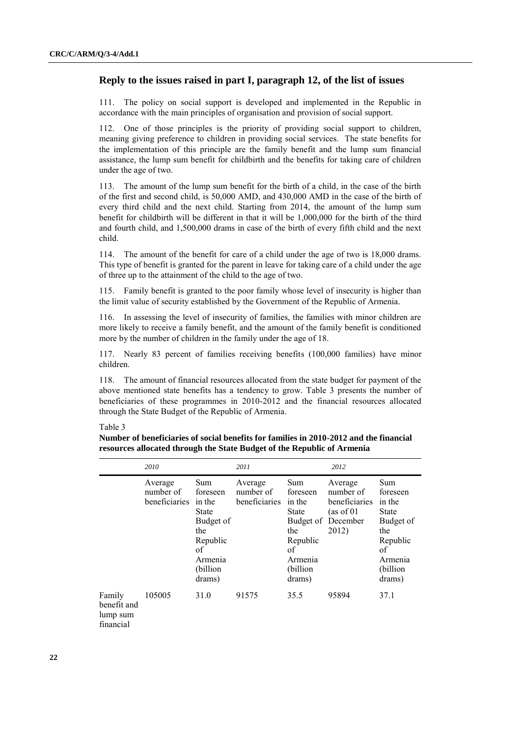# **Reply to the issues raised in part I, paragraph 12, of the list of issues**

111. The policy on social support is developed and implemented in the Republic in accordance with the main principles of organisation and provision of social support.

112. One of those principles is the priority of providing social support to children, meaning giving preference to children in providing social services. The state benefits for the implementation of this principle are the family benefit and the lump sum financial assistance, the lump sum benefit for childbirth and the benefits for taking care of children under the age of two.

113. The amount of the lump sum benefit for the birth of a child, in the case of the birth of the first and second child, is 50,000 AMD, and 430,000 AMD in the case of the birth of every third child and the next child. Starting from 2014, the amount of the lump sum benefit for childbirth will be different in that it will be 1,000,000 for the birth of the third and fourth child, and 1,500,000 drams in case of the birth of every fifth child and the next child.

114. The amount of the benefit for care of a child under the age of two is 18,000 drams. This type of benefit is granted for the parent in leave for taking care of a child under the age of three up to the attainment of the child to the age of two.

115. Family benefit is granted to the poor family whose level of insecurity is higher than the limit value of security established by the Government of the Republic of Armenia.

116. In assessing the level of insecurity of families, the families with minor children are more likely to receive a family benefit, and the amount of the family benefit is conditioned more by the number of children in the family under the age of 18.

117. Nearly 83 percent of families receiving benefits (100,000 families) have minor children.

118. The amount of financial resources allocated from the state budget for payment of the above mentioned state benefits has a tendency to grow. Table 3 presents the number of beneficiaries of these programmes in 2010-2012 and the financial resources allocated through the State Budget of the Republic of Armenia.

### Table 3

**Number of beneficiaries of social benefits for families in 2010-2012 and the financial resources allocated through the State Budget of the Republic of Armenia**

|                                                | 2010                                         |                                                                                                                  | 2011                                  |                                                                                                                  | 2012                                                                     |                                                                                                                  |
|------------------------------------------------|----------------------------------------------|------------------------------------------------------------------------------------------------------------------|---------------------------------------|------------------------------------------------------------------------------------------------------------------|--------------------------------------------------------------------------|------------------------------------------------------------------------------------------------------------------|
|                                                | Average<br>number of<br><b>beneficiaries</b> | Sum<br>foreseen<br>in the<br><b>State</b><br>Budget of<br>the<br>Republic<br>of<br>Armenia<br>(billion<br>drams) | Average<br>number of<br>beneficiaries | Sum<br>foreseen<br>in the<br><b>State</b><br>Budget of<br>the<br>Republic<br>of<br>Armenia<br>(billion<br>drams) | Average<br>number of<br>beneficiaries<br>(as of 01)<br>December<br>2012) | Sum<br>foreseen<br>in the<br><b>State</b><br>Budget of<br>the<br>Republic<br>of<br>Armenia<br>(billion<br>drams) |
| Family<br>benefit and<br>lump sum<br>financial | 105005                                       | 31.0                                                                                                             | 91575                                 | 35.5                                                                                                             | 95894                                                                    | 37.1                                                                                                             |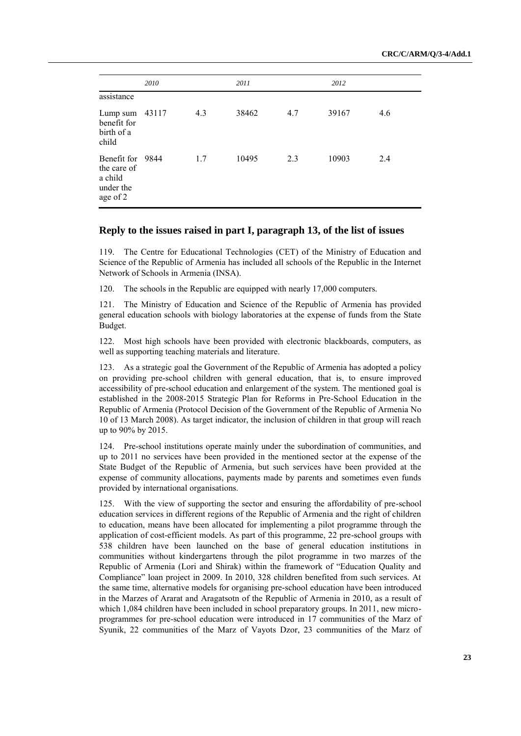|                                                                     | 2010 |     | 2011  |     | 2012  |     |
|---------------------------------------------------------------------|------|-----|-------|-----|-------|-----|
| assistance                                                          |      |     |       |     |       |     |
| Lump sum 43117<br>benefit for<br>birth of a<br>child                |      | 4.3 | 38462 | 4.7 | 39167 | 4.6 |
| Benefit for 9844<br>the care of<br>a child<br>under the<br>age of 2 |      | 1.7 | 10495 | 2.3 | 10903 | 2.4 |

## **Reply to the issues raised in part I, paragraph 13, of the list of issues**

119. The Centre for Educational Technologies (CET) of the Ministry of Education and Science of the Republic of Armenia has included all schools of the Republic in the Internet Network of Schools in Armenia (INSA).

120. The schools in the Republic are equipped with nearly 17,000 computers.

121. The Ministry of Education and Science of the Republic of Armenia has provided general education schools with biology laboratories at the expense of funds from the State Budget.

122. Most high schools have been provided with electronic blackboards, computers, as well as supporting teaching materials and literature.

123. As a strategic goal the Government of the Republic of Armenia has adopted a policy on providing pre-school children with general education, that is, to ensure improved accessibility of pre-school education and enlargement of the system. The mentioned goal is established in the 2008-2015 Strategic Plan for Reforms in Pre-School Education in the Republic of Armenia (Protocol Decision of the Government of the Republic of Armenia No 10 of 13 March 2008). As target indicator, the inclusion of children in that group will reach up to 90% by 2015.

124. Pre-school institutions operate mainly under the subordination of communities, and up to 2011 no services have been provided in the mentioned sector at the expense of the State Budget of the Republic of Armenia, but such services have been provided at the expense of community allocations, payments made by parents and sometimes even funds provided by international organisations.

125. With the view of supporting the sector and ensuring the affordability of pre-school education services in different regions of the Republic of Armenia and the right of children to education, means have been allocated for implementing a pilot programme through the application of cost-efficient models. As part of this programme, 22 pre-school groups with 538 children have been launched on the base of general education institutions in communities without kindergartens through the pilot programme in two marzes of the Republic of Armenia (Lori and Shirak) within the framework of "Education Quality and Compliance‖ loan project in 2009. In 2010, 328 children benefited from such services. At the same time, alternative models for organising pre-school education have been introduced in the Marzes of Ararat and Aragatsotn of the Republic of Armenia in 2010, as a result of which 1,084 children have been included in school preparatory groups. In 2011, new microprogrammes for pre-school education were introduced in 17 communities of the Marz of Syunik, 22 communities of the Marz of Vayots Dzor, 23 communities of the Marz of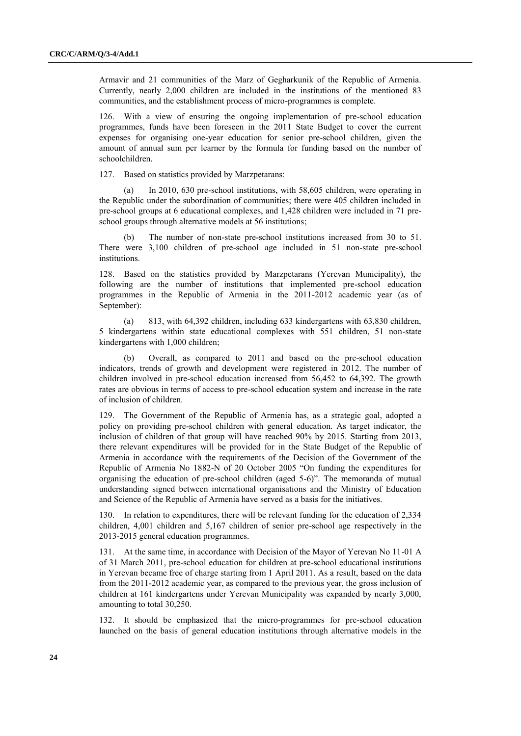Armavir and 21 communities of the Marz of Gegharkunik of the Republic of Armenia. Currently, nearly 2,000 children are included in the institutions of the mentioned 83 communities, and the establishment process of micro-programmes is complete.

126. With a view of ensuring the ongoing implementation of pre-school education programmes, funds have been foreseen in the 2011 State Budget to cover the current expenses for organising one-year education for senior pre-school children, given the amount of annual sum per learner by the formula for funding based on the number of schoolchildren.

127. Based on statistics provided by Marzpetarans:

(a) In 2010, 630 pre-school institutions, with 58,605 children, were operating in the Republic under the subordination of communities; there were 405 children included in pre-school groups at 6 educational complexes, and 1,428 children were included in 71 preschool groups through alternative models at 56 institutions;

(b) The number of non-state pre-school institutions increased from 30 to 51. There were 3,100 children of pre-school age included in 51 non-state pre-school institutions.

128. Based on the statistics provided by Marzpetarans (Yerevan Municipality), the following are the number of institutions that implemented pre-school education programmes in the Republic of Armenia in the 2011-2012 academic year (as of September):

(a) 813, with 64,392 children, including 633 kindergartens with 63,830 children, 5 kindergartens within state educational complexes with 551 children, 51 non-state kindergartens with 1,000 children;

(b) Overall, as compared to 2011 and based on the pre-school education indicators, trends of growth and development were registered in 2012. The number of children involved in pre-school education increased from 56,452 to 64,392. The growth rates are obvious in terms of access to pre-school education system and increase in the rate of inclusion of children.

129. The Government of the Republic of Armenia has, as a strategic goal, adopted a policy on providing pre-school children with general education. As target indicator, the inclusion of children of that group will have reached 90% by 2015. Starting from 2013, there relevant expenditures will be provided for in the State Budget of the Republic of Armenia in accordance with the requirements of the Decision of the Government of the Republic of Armenia No 1882-N of 20 October 2005 "On funding the expenditures for organising the education of pre-school children (aged 5-6)". The memoranda of mutual understanding signed between international organisations and the Ministry of Education and Science of the Republic of Armenia have served as a basis for the initiatives.

130. In relation to expenditures, there will be relevant funding for the education of 2,334 children, 4,001 children and 5,167 children of senior pre-school age respectively in the 2013-2015 general education programmes.

131. At the same time, in accordance with Decision of the Mayor of Yerevan No 11-01 A of 31 March 2011, pre-school education for children at pre-school educational institutions in Yerevan became free of charge starting from 1 April 2011. As a result, based on the data from the 2011-2012 academic year, as compared to the previous year, the gross inclusion of children at 161 kindergartens under Yerevan Municipality was expanded by nearly 3,000, amounting to total 30,250.

132. It should be emphasized that the micro-programmes for pre-school education launched on the basis of general education institutions through alternative models in the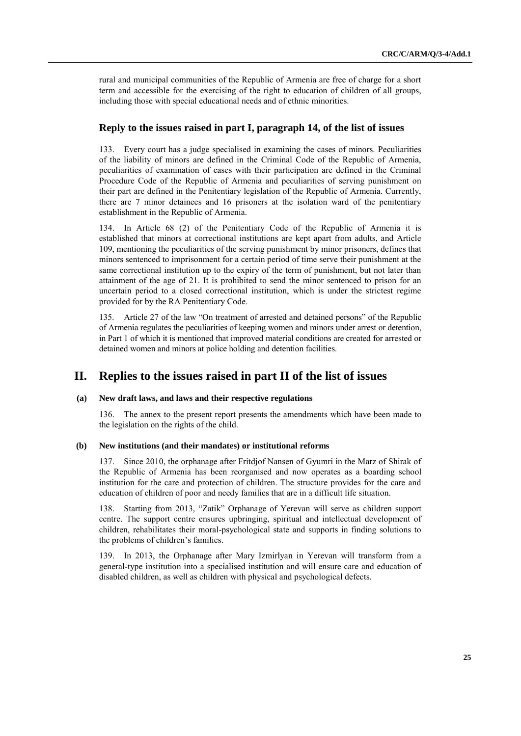rural and municipal communities of the Republic of Armenia are free of charge for a short term and accessible for the exercising of the right to education of children of all groups, including those with special educational needs and of ethnic minorities.

## **Reply to the issues raised in part I, paragraph 14, of the list of issues**

133. Every court has a judge specialised in examining the cases of minors. Peculiarities of the liability of minors are defined in the Criminal Code of the Republic of Armenia, peculiarities of examination of cases with their participation are defined in the Criminal Procedure Code of the Republic of Armenia and peculiarities of serving punishment on their part are defined in the Penitentiary legislation of the Republic of Armenia. Currently, there are 7 minor detainees and 16 prisoners at the isolation ward of the penitentiary establishment in the Republic of Armenia.

134. In Article 68 (2) of the Penitentiary Code of the Republic of Armenia it is established that minors at correctional institutions are kept apart from adults, and Article 109, mentioning the peculiarities of the serving punishment by minor prisoners, defines that minors sentenced to imprisonment for a certain period of time serve their punishment at the same correctional institution up to the expiry of the term of punishment, but not later than attainment of the age of 21. It is prohibited to send the minor sentenced to prison for an uncertain period to a closed correctional institution, which is under the strictest regime provided for by the RA Penitentiary Code.

135. Article 27 of the law "On treatment of arrested and detained persons" of the Republic of Armenia regulates the peculiarities of keeping women and minors under arrest or detention, in Part 1 of which it is mentioned that improved material conditions are created for arrested or detained women and minors at police holding and detention facilities.

# **II. Replies to the issues raised in part II of the list of issues**

## **(a) New draft laws, and laws and their respective regulations**

136. The annex to the present report presents the amendments which have been made to the legislation on the rights of the child.

#### **(b) New institutions (and their mandates) or institutional reforms**

137. Since 2010, the orphanage after Fritdjof Nansen of Gyumri in the Marz of Shirak of the Republic of Armenia has been reorganised and now operates as a boarding school institution for the care and protection of children. The structure provides for the care and education of children of poor and needy families that are in a difficult life situation.

138. Starting from 2013, "Zatik" Orphanage of Yerevan will serve as children support centre. The support centre ensures upbringing, spiritual and intellectual development of children, rehabilitates their moral-psychological state and supports in finding solutions to the problems of children's families.

139. In 2013, the Orphanage after Mary Izmirlyan in Yerevan will transform from a general-type institution into a specialised institution and will ensure care and education of disabled children, as well as children with physical and psychological defects.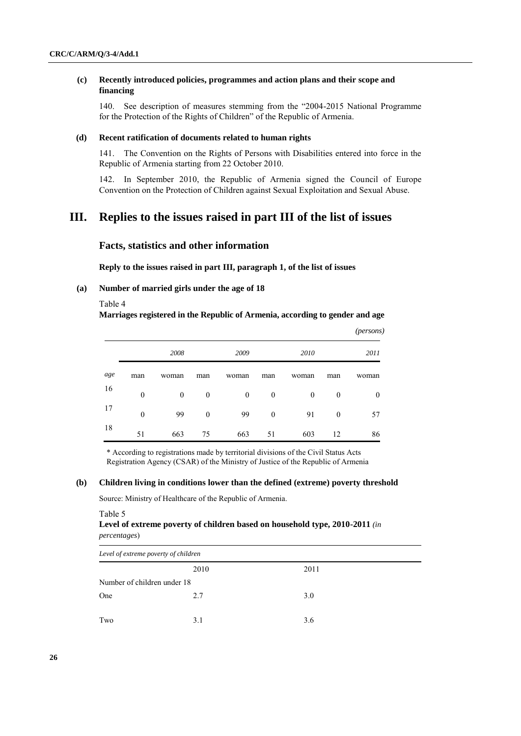## **(c) Recently introduced policies, programmes and action plans and their scope and financing**

140. See description of measures stemming from the "2004-2015 National Programme for the Protection of the Rights of Children" of the Republic of Armenia.

#### **(d) Recent ratification of documents related to human rights**

141. The Convention on the Rights of Persons with Disabilities entered into force in the Republic of Armenia starting from 22 October 2010.

142. In September 2010, the Republic of Armenia signed the Council of Europe Convention on the Protection of Children against Sexual Exploitation and Sexual Abuse.

# **III. Replies to the issues raised in part III of the list of issues**

## **Facts, statistics and other information**

**Reply to the issues raised in part III, paragraph 1, of the list of issues**

## **(a) Number of married girls under the age of 18**

#### Table 4

**Marriages registered in the Republic of Armenia, according to gender and age**

|     |                  |              |          |          |              |              |              | (persons) |
|-----|------------------|--------------|----------|----------|--------------|--------------|--------------|-----------|
|     |                  | 2008         |          | 2009     |              | 2010         |              | 2011      |
| age | man              | woman        | man      | woman    | man          | woman        | man          | woman     |
| 16  | $\boldsymbol{0}$ | $\mathbf{0}$ | $\theta$ | $\theta$ | $\mathbf{0}$ | $\mathbf{0}$ | $\mathbf{0}$ | $\theta$  |
| 17  | $\theta$         | 99           | $\theta$ | 99       | $\theta$     | 91           | $\mathbf{0}$ | 57        |
| 18  | 51               | 663          | 75       | 663      | 51           | 603          | 12           | 86        |

\* According to registrations made by territorial divisions of the Civil Status Acts Registration Agency (CSAR) of the Ministry of Justice of the Republic of Armenia

### **(b) Children living in conditions lower than the defined (extreme) poverty threshold**

Source: Ministry of Healthcare of the Republic of Armenia.

#### Table 5

## **Level of extreme poverty of children based on household type, 2010-2011** *(in percentages*)

| Level of extreme poverty of children |      |      |  |  |
|--------------------------------------|------|------|--|--|
|                                      | 2010 | 2011 |  |  |
| Number of children under 18          |      |      |  |  |
| One                                  | 2.7  | 3.0  |  |  |
|                                      |      |      |  |  |
| Two                                  | 3.1  | 3.6  |  |  |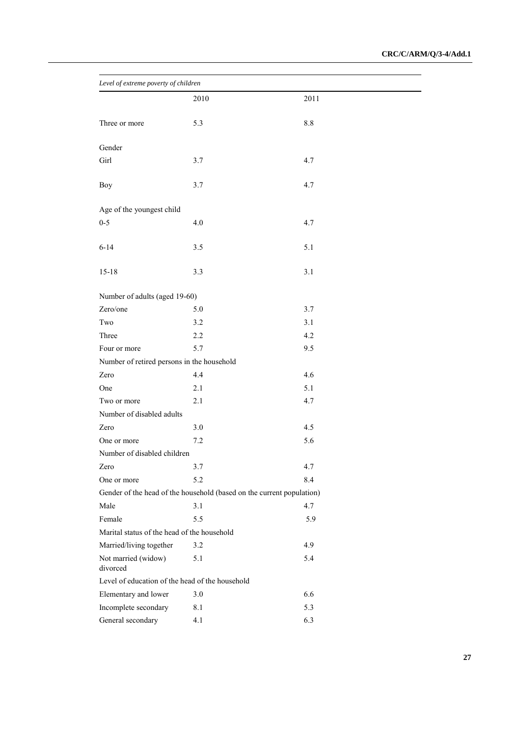| Level of extreme poverty of children                                  |         |         |  |
|-----------------------------------------------------------------------|---------|---------|--|
|                                                                       | 2010    | 2011    |  |
| Three or more                                                         | 5.3     | $8.8\,$ |  |
|                                                                       |         |         |  |
| Gender                                                                |         |         |  |
| Girl                                                                  | 3.7     | 4.7     |  |
| <b>Boy</b>                                                            | 3.7     | 4.7     |  |
| Age of the youngest child                                             |         |         |  |
| $0 - 5$                                                               | 4.0     | 4.7     |  |
| $6 - 14$                                                              | 3.5     | 5.1     |  |
| $15 - 18$                                                             | 3.3     | 3.1     |  |
| Number of adults (aged 19-60)                                         |         |         |  |
| Zero/one                                                              | 5.0     | 3.7     |  |
| Two                                                                   | 3.2     | 3.1     |  |
| Three                                                                 | 2.2     | 4.2     |  |
| Four or more                                                          | 5.7     | 9.5     |  |
| Number of retired persons in the household                            |         |         |  |
| Zero                                                                  | 4.4     | 4.6     |  |
| One                                                                   | 2.1     | 5.1     |  |
| Two or more                                                           | 2.1     | 4.7     |  |
| Number of disabled adults                                             |         |         |  |
| Zero                                                                  | 3.0     | 4.5     |  |
| One or more                                                           | 7.2     | 5.6     |  |
| Number of disabled children                                           |         |         |  |
| Zero                                                                  | 3.7     | 4.7     |  |
| One or more                                                           | 5.2     | 8.4     |  |
| Gender of the head of the household (based on the current population) |         |         |  |
| Male                                                                  | 3.1     | 4.7     |  |
| Female                                                                | 5.5     | 5.9     |  |
| Marital status of the head of the household                           |         |         |  |
| Married/living together                                               | 3.2     | 4.9     |  |
| Not married (widow)<br>divorced                                       | 5.1     | 5.4     |  |
| Level of education of the head of the household                       |         |         |  |
| Elementary and lower                                                  | $3.0\,$ | 6.6     |  |
| Incomplete secondary                                                  | 8.1     | 5.3     |  |
| General secondary                                                     | 4.1     | 6.3     |  |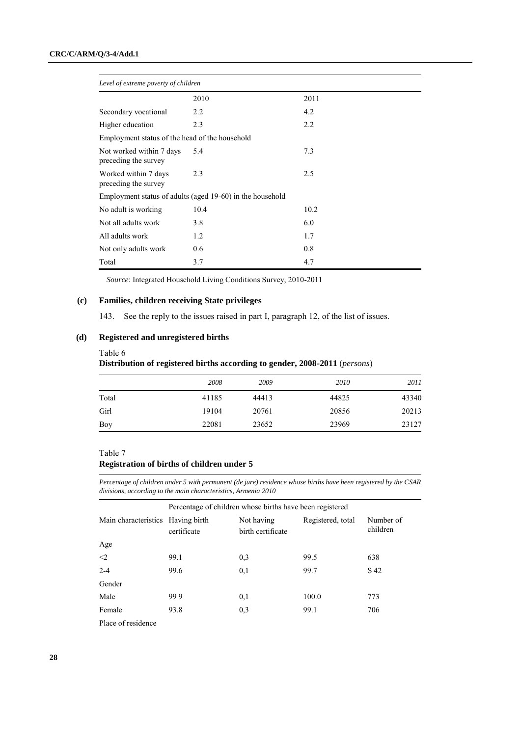| Level of extreme poverty of children             |                                                           |      |  |  |
|--------------------------------------------------|-----------------------------------------------------------|------|--|--|
|                                                  | 2010                                                      | 2011 |  |  |
| Secondary vocational                             | 2.2                                                       | 4.2  |  |  |
| Higher education                                 | 2.3                                                       | 2.2  |  |  |
| Employment status of the head of the household   |                                                           |      |  |  |
| Not worked within 7 days<br>preceding the survey | 5.4                                                       | 7.3  |  |  |
| Worked within 7 days<br>preceding the survey     | 2.3                                                       | 2.5  |  |  |
|                                                  | Employment status of adults (aged 19-60) in the household |      |  |  |
| No adult is working                              | 10.4                                                      | 10.2 |  |  |
| Not all adults work                              | 3.8                                                       | 6.0  |  |  |
| All adults work                                  | 1.2                                                       | 1.7  |  |  |
| Not only adults work                             | 0.6                                                       | 0.8  |  |  |
| Total                                            | 3.7                                                       | 4.7  |  |  |

*Source*: Integrated Household Living Conditions Survey, 2010-2011

## **(c) Families, children receiving State privileges**

143. See the reply to the issues raised in part I, paragraph 12, of the list of issues.

# **(d) Registered and unregistered births**

#### Table 6

**Distribution of registered births according to gender, 2008-2011** (*persons*)

|       | 2008  | 2009  | 2010  | 2011  |
|-------|-------|-------|-------|-------|
| Total | 41185 | 44413 | 44825 | 43340 |
| Girl  | 19104 | 20761 | 20856 | 20213 |
| Boy   | 22081 | 23652 | 23969 | 23127 |

### Table 7

# **Registration of births of children under 5**

*Percentage of children under 5 with permanent (de jure) residence whose births have been registered by the CSAR divisions, according to the main characteristics, Armenia 2010* 

| Percentage of children whose births have been registered |             |                                 |                   |                       |  |  |  |
|----------------------------------------------------------|-------------|---------------------------------|-------------------|-----------------------|--|--|--|
| Main characteristics Having birth                        | certificate | Not having<br>birth certificate | Registered, total | Number of<br>children |  |  |  |
| Age                                                      |             |                                 |                   |                       |  |  |  |
| $\langle 2$                                              | 99.1        | 0.3                             | 99.5              | 638                   |  |  |  |
| $2 - 4$                                                  | 99.6        | 0,1                             | 99.7              | S 42                  |  |  |  |
| Gender                                                   |             |                                 |                   |                       |  |  |  |
| Male                                                     | 999         | 0,1                             | 100.0             | 773                   |  |  |  |
| Female                                                   | 93.8        | 0.3                             | 99.1              | 706                   |  |  |  |
| Place of residence                                       |             |                                 |                   |                       |  |  |  |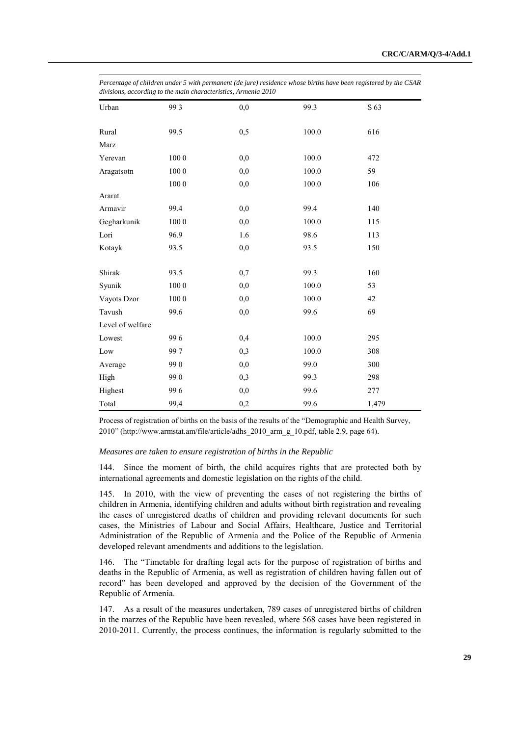| aivisions, accoraing to the main characteristics, Armenia 2010 |          |     |           |       |  |  |
|----------------------------------------------------------------|----------|-----|-----------|-------|--|--|
| Urban                                                          | 993      | 0,0 | 99.3      | S 63  |  |  |
| Rural                                                          | 99.5     | 0,5 | 100.0     | 616   |  |  |
| Marz                                                           |          |     |           |       |  |  |
| Yerevan                                                        | $100\ 0$ | 0,0 | 100.0     | 472   |  |  |
| Aragatsotn                                                     | 1000     | 0,0 | 100.0     | 59    |  |  |
|                                                                | $100\ 0$ | 0,0 | $100.0\,$ | 106   |  |  |
| Ararat                                                         |          |     |           |       |  |  |
| Armavir                                                        | 99.4     | 0,0 | 99.4      | 140   |  |  |
| Gegharkunik                                                    | 1000     | 0,0 | 100.0     | 115   |  |  |
| Lori                                                           | 96.9     | 1.6 | 98.6      | 113   |  |  |
| Kotayk                                                         | 93.5     | 0,0 | 93.5      | 150   |  |  |
| Shirak                                                         | 93.5     | 0,7 | 99.3      | 160   |  |  |
| Syunik                                                         | $100\ 0$ | 0,0 | 100.0     | 53    |  |  |
| Vayots Dzor                                                    | 1000     | 0,0 | 100.0     | 42    |  |  |
| Tavush                                                         | 99.6     | 0,0 | 99.6      | 69    |  |  |
| Level of welfare                                               |          |     |           |       |  |  |
| Lowest                                                         | 996      | 0,4 | $100.0\,$ | 295   |  |  |
| Low                                                            | 997      | 0,3 | 100.0     | 308   |  |  |
| Average                                                        | 990      | 0,0 | 99.0      | 300   |  |  |
| High                                                           | 990      | 0,3 | 99.3      | 298   |  |  |
| Highest                                                        | 996      | 0,0 | 99.6      | 277   |  |  |
| Total                                                          | 99,4     | 0,2 | 99.6      | 1,479 |  |  |

*Percentage of children under 5 with permanent (de jure) residence whose births have been registered by the CSAR divisions, according to the main characteristics, Armenia 2010* 

Process of registration of births on the basis of the results of the "Demographic and Health Survey, 2010" (http://www.armstat.am/file/article/adhs\_2010\_arm\_g\_10.pdf, table 2.9, page 64).

#### *Measures are taken to ensure registration of births in the Republic*

144. Since the moment of birth, the child acquires rights that are protected both by international agreements and domestic legislation on the rights of the child.

145. In 2010, with the view of preventing the cases of not registering the births of children in Armenia, identifying children and adults without birth registration and revealing the cases of unregistered deaths of children and providing relevant documents for such cases, the Ministries of Labour and Social Affairs, Healthcare, Justice and Territorial Administration of the Republic of Armenia and the Police of the Republic of Armenia developed relevant amendments and additions to the legislation.

146. The "Timetable for drafting legal acts for the purpose of registration of births and deaths in the Republic of Armenia, as well as registration of children having fallen out of record" has been developed and approved by the decision of the Government of the Republic of Armenia.

147. As a result of the measures undertaken, 789 cases of unregistered births of children in the marzes of the Republic have been revealed, where 568 cases have been registered in 2010-2011. Currently, the process continues, the information is regularly submitted to the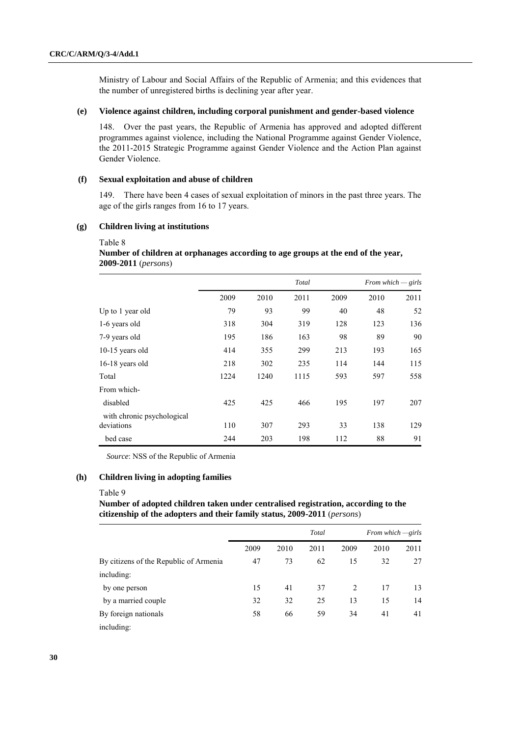Ministry of Labour and Social Affairs of the Republic of Armenia; and this evidences that the number of unregistered births is declining year after year.

## **(e) Violence against children, including corporal punishment and gender-based violence**

148. Over the past years, the Republic of Armenia has approved and adopted different programmes against violence, including the National Programme against Gender Violence, the 2011-2015 Strategic Programme against Gender Violence and the Action Plan against Gender Violence.

### **(f) Sexual exploitation and abuse of children**

149. There have been 4 cases of sexual exploitation of minors in the past three years. The age of the girls ranges from 16 to 17 years.

## **(g) Children living at institutions**

#### Table 8

# **Number of children at orphanages according to age groups at the end of the year, 2009-2011** (*persons*)

|                            | Total |      |      |      | From which $-\,$ girls |      |  |
|----------------------------|-------|------|------|------|------------------------|------|--|
|                            | 2009  | 2010 | 2011 | 2009 | 2010                   | 2011 |  |
| Up to 1 year old           | 79    | 93   | 99   | 40   | 48                     | 52   |  |
| 1-6 years old              | 318   | 304  | 319  | 128  | 123                    | 136  |  |
| 7-9 years old              | 195   | 186  | 163  | 98   | 89                     | 90   |  |
| 10-15 years old            | 414   | 355  | 299  | 213  | 193                    | 165  |  |
| 16-18 years old            | 218   | 302  | 235  | 114  | 144                    | 115  |  |
| Total                      | 1224  | 1240 | 1115 | 593  | 597                    | 558  |  |
| From which-                |       |      |      |      |                        |      |  |
| disabled                   | 425   | 425  | 466  | 195  | 197                    | 207  |  |
| with chronic psychological |       |      |      |      |                        |      |  |
| deviations                 | 110   | 307  | 293  | 33   | 138                    | 129  |  |
| bed case                   | 244   | 203  | 198  | 112  | 88                     | 91   |  |

*Source*: NSS of the Republic of Armenia

## **(h) Children living in adopting families**

#### Table 9

**Number of adopted children taken under centralised registration, according to the citizenship of the adopters and their family status, 2009-2011** (*persons*)

|                                        | Total |      |      | From which $\rightarrow$ girls |      |      |
|----------------------------------------|-------|------|------|--------------------------------|------|------|
|                                        | 2009  | 2010 | 2011 | 2009                           | 2010 | 2011 |
| By citizens of the Republic of Armenia | 47    | 73   | 62   | 15                             | 32   | 27   |
| including:                             |       |      |      |                                |      |      |
| by one person                          | 15    | 41   | 37   | 2                              | 17   | 13   |
| by a married couple                    | 32    | 32   | 25   | 13                             | 15   | 14   |
| By foreign nationals                   | 58    | 66   | 59   | 34                             | 41   | 41   |
| including:                             |       |      |      |                                |      |      |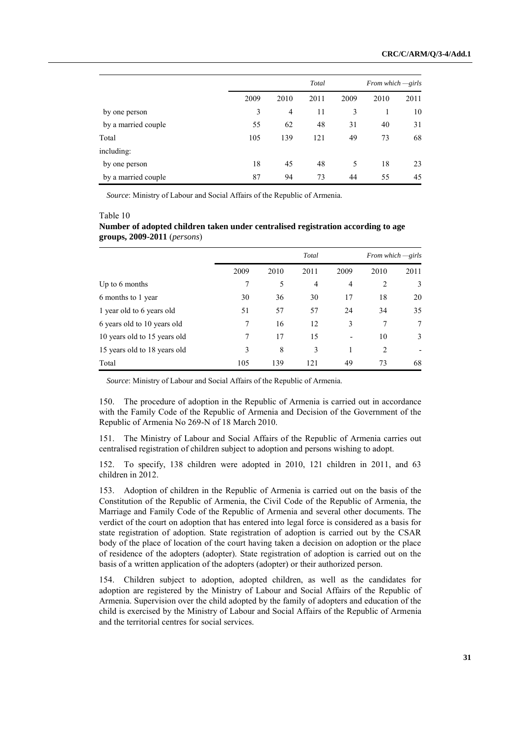|                     |      | Total          |      |      | From which $-girls$ |      |  |
|---------------------|------|----------------|------|------|---------------------|------|--|
|                     | 2009 | 2010           | 2011 | 2009 | 2010                | 2011 |  |
| by one person       | 3    | $\overline{4}$ | 11   | 3    |                     | 10   |  |
| by a married couple | 55   | 62             | 48   | 31   | 40                  | 31   |  |
| Total               | 105  | 139            | 121  | 49   | 73                  | 68   |  |
| including:          |      |                |      |      |                     |      |  |
| by one person       | 18   | 45             | 48   | 5    | 18                  | 23   |  |
| by a married couple | 87   | 94             | 73   | 44   | 55                  | 45   |  |

*Source*: Ministry of Labour and Social Affairs of the Republic of Armenia.

|  | Table 10 |  |
|--|----------|--|
|--|----------|--|

|                               | Number of adopted children taken under centralised registration according to age |  |
|-------------------------------|----------------------------------------------------------------------------------|--|
| $groups, 2009-2011 (persons)$ |                                                                                  |  |

|                              |      |      | Total |      |      | From which $\rightarrow$ <i>girls</i> |
|------------------------------|------|------|-------|------|------|---------------------------------------|
|                              | 2009 | 2010 | 2011  | 2009 | 2010 | 2011                                  |
| Up to 6 months               | 7    | 5    | 4     | 4    | 2    | 3                                     |
| 6 months to 1 year           | 30   | 36   | 30    | 17   | 18   | 20                                    |
| 1 year old to 6 years old    | 51   | 57   | 57    | 24   | 34   | 35                                    |
| 6 years old to 10 years old  | 7    | 16   | 12    | 3    | 7    | 7                                     |
| 10 years old to 15 years old | 7    | 17   | 15    | -    | 10   | 3                                     |
| 15 years old to 18 years old | 3    | 8    | 3     |      | 2    |                                       |
| Total                        | 105  | 139  | 121   | 49   | 73   | 68                                    |

*Source*: Ministry of Labour and Social Affairs of the Republic of Armenia.

150. The procedure of adoption in the Republic of Armenia is carried out in accordance with the Family Code of the Republic of Armenia and Decision of the Government of the Republic of Armenia No 269-N of 18 March 2010.

151. The Ministry of Labour and Social Affairs of the Republic of Armenia carries out centralised registration of children subject to adoption and persons wishing to adopt.

152. To specify, 138 children were adopted in 2010, 121 children in 2011, and 63 children in 2012.

153. Adoption of children in the Republic of Armenia is carried out on the basis of the Constitution of the Republic of Armenia, the Civil Code of the Republic of Armenia, the Marriage and Family Code of the Republic of Armenia and several other documents. The verdict of the court on adoption that has entered into legal force is considered as a basis for state registration of adoption. State registration of adoption is carried out by the CSAR body of the place of location of the court having taken a decision on adoption or the place of residence of the adopters (adopter). State registration of adoption is carried out on the basis of a written application of the adopters (adopter) or their authorized person.

154. Children subject to adoption, adopted children, as well as the candidates for adoption are registered by the Ministry of Labour and Social Affairs of the Republic of Armenia. Supervision over the child adopted by the family of adopters and education of the child is exercised by the Ministry of Labour and Social Affairs of the Republic of Armenia and the territorial centres for social services.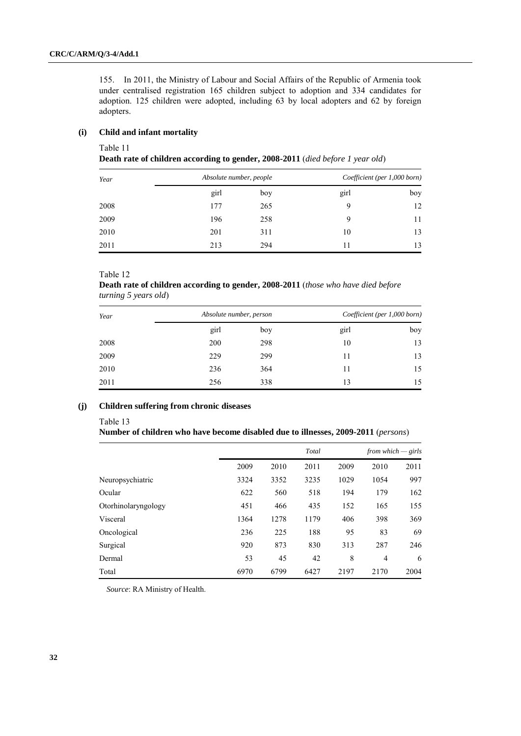155. In 2011, the Ministry of Labour and Social Affairs of the Republic of Armenia took under centralised registration 165 children subject to adoption and 334 candidates for adoption. 125 children were adopted, including 63 by local adopters and 62 by foreign adopters.

## **(i) Child and infant mortality**

Table 11

**Death rate of children according to gender, 2008-2011** (*died before 1 year old*)

| Year | Absolute number, people |     |      | Coefficient (per 1,000 born) |
|------|-------------------------|-----|------|------------------------------|
|      | girl                    | boy | girl | boy                          |
| 2008 | 177                     | 265 | 9    | 12                           |
| 2009 | 196                     | 258 | 9    | 11                           |
| 2010 | 201                     | 311 | 10   | 13                           |
| 2011 | 213                     | 294 | 11   | 13                           |

Table 12

**Death rate of children according to gender, 2008-2011** (*those who have died before turning 5 years old*)

| Year | Absolute number, person |     |      | Coefficient (per 1,000 born) |
|------|-------------------------|-----|------|------------------------------|
|      | girl                    | boy | girl | boy                          |
| 2008 | 200                     | 298 | 10   | 13                           |
| 2009 | 229                     | 299 | 11   | 13                           |
| 2010 | 236                     | 364 | 11   | 15                           |
| 2011 | 256                     | 338 | 13   | 15                           |

# **(j) Children suffering from chronic diseases**

#### Table 13

## **Number of children who have become disabled due to illnesses, 2009-2011** (*persons*)

|                     |      | Total |      |      | from which $-\,$ girls |      |  |
|---------------------|------|-------|------|------|------------------------|------|--|
|                     | 2009 | 2010  | 2011 | 2009 | 2010                   | 2011 |  |
| Neuropsychiatric    | 3324 | 3352  | 3235 | 1029 | 1054                   | 997  |  |
| Ocular              | 622  | 560   | 518  | 194  | 179                    | 162  |  |
| Otorhinolaryngology | 451  | 466   | 435  | 152  | 165                    | 155  |  |
| Visceral            | 1364 | 1278  | 1179 | 406  | 398                    | 369  |  |
| Oncological         | 236  | 225   | 188  | 95   | 83                     | 69   |  |
| Surgical            | 920  | 873   | 830  | 313  | 287                    | 246  |  |
| Dermal              | 53   | 45    | 42   | 8    | $\overline{4}$         | 6    |  |
| Total               | 6970 | 6799  | 6427 | 2197 | 2170                   | 2004 |  |

*Source*: RA Ministry of Health.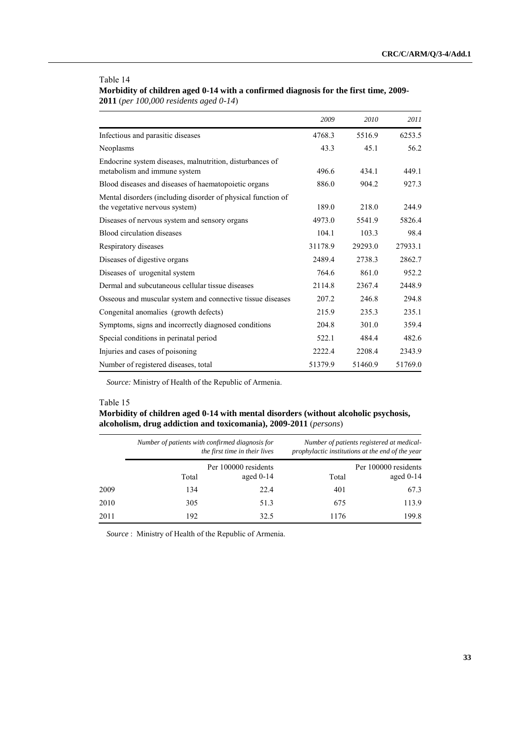#### Table 14

**Morbidity of children aged 0-14 with a confirmed diagnosis for the first time, 2009- 2011** (*per 100,000 residents aged 0-14*)

|                                                                                                | 2009    | 2010    | 2011    |
|------------------------------------------------------------------------------------------------|---------|---------|---------|
| Infectious and parasitic diseases                                                              | 4768.3  | 5516.9  | 6253.5  |
| Neoplasms                                                                                      | 43.3    | 45.1    | 56.2    |
| Endocrine system diseases, malnutrition, disturbances of<br>metabolism and immune system       | 496.6   | 434.1   | 449.1   |
| Blood diseases and diseases of haematopoietic organs                                           | 886.0   | 904.2   | 927.3   |
| Mental disorders (including disorder of physical function of<br>the vegetative nervous system) | 189.0   | 218.0   | 244.9   |
| Diseases of nervous system and sensory organs                                                  | 4973.0  | 5541.9  | 5826.4  |
| Blood circulation diseases                                                                     | 104.1   | 103.3   | 98.4    |
| Respiratory diseases                                                                           | 31178.9 | 29293.0 | 27933.1 |
| Diseases of digestive organs                                                                   | 2489.4  | 2738.3  | 2862.7  |
| Diseases of urogenital system                                                                  | 764.6   | 861.0   | 952.2   |
| Dermal and subcutaneous cellular tissue diseases                                               | 2114.8  | 2367.4  | 2448.9  |
| Osseous and muscular system and connective tissue diseases                                     | 207.2   | 246.8   | 294.8   |
| Congenital anomalies (growth defects)                                                          | 215.9   | 235.3   | 235.1   |
| Symptoms, signs and incorrectly diagnosed conditions                                           | 204.8   | 301.0   | 359.4   |
| Special conditions in perinatal period                                                         | 522.1   | 484.4   | 482.6   |
| Injuries and cases of poisoning                                                                | 2222.4  | 2208.4  | 2343.9  |
| Number of registered diseases, total                                                           | 51379.9 | 51460.9 | 51769.0 |

*Source:* Ministry of Health of the Republic of Armenia.

#### Table 15

# **Morbidity of children aged 0-14 with mental disorders (without alcoholic psychosis, alcoholism, drug addiction and toxicomania), 2009-2011** (*persons*)

| Number of patients registered at medical-<br>prophylactic institutions at the end of the year |       | Number of patients with confirmed diagnosis for<br>the first time in their lives |       |      |
|-----------------------------------------------------------------------------------------------|-------|----------------------------------------------------------------------------------|-------|------|
| Per 100000 residents<br>aged $0-14$                                                           | Total | Per 100000 residents<br>aged $0-14$                                              | Total |      |
| 67.3                                                                                          | 401   | 22.4                                                                             | 134   | 2009 |
| 113.9                                                                                         | 675   | 51.3                                                                             | 305   | 2010 |
| 199.8                                                                                         | 1176  | 32.5                                                                             | 192   | 2011 |

*Source* : Ministry of Health of the Republic of Armenia.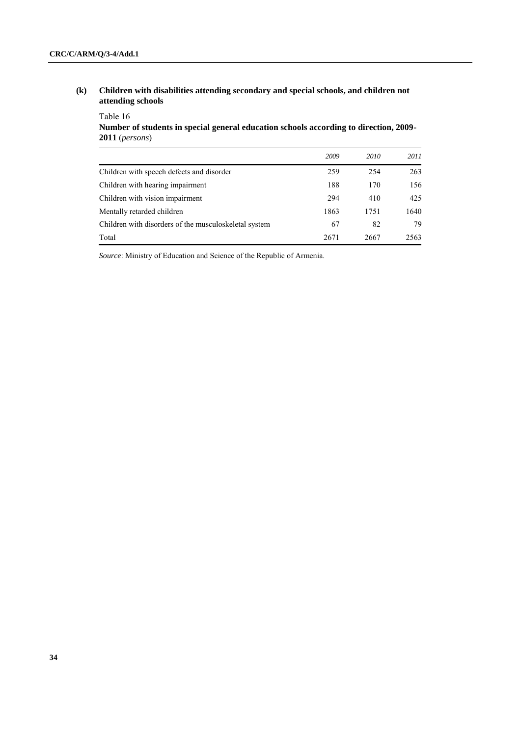**(k) Children with disabilities attending secondary and special schools, and children not attending schools** 

# Table 16 **Number of students in special general education schools according to direction, 2009- 2011** (*persons*)

|                                                       | 2009 | 2010 | 2011 |
|-------------------------------------------------------|------|------|------|
| Children with speech defects and disorder             | 259  | 254  | 263  |
| Children with hearing impairment                      | 188  | 170  | 156  |
| Children with vision impairment                       | 294  | 410  | 425  |
| Mentally retarded children                            | 1863 | 1751 | 1640 |
| Children with disorders of the musculoskeletal system | 67   | 82   | 79   |
| Total                                                 | 2671 | 2667 | 2563 |

*Source*: Ministry of Education and Science of the Republic of Armenia.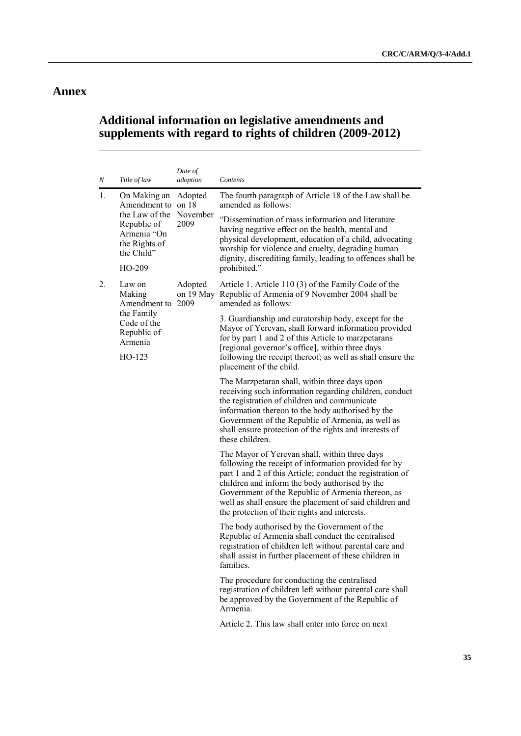# **Annex**

# **Additional information on legislative amendments and supplements with regard to rights of children (2009-2012)**

| Ν  | Title of law                                                                                                      | Date of<br>adoption         | Contents                                                                                                                                                                                                                                                                                                                                                                              |
|----|-------------------------------------------------------------------------------------------------------------------|-----------------------------|---------------------------------------------------------------------------------------------------------------------------------------------------------------------------------------------------------------------------------------------------------------------------------------------------------------------------------------------------------------------------------------|
| 1. | On Making an<br>Amendment to on 18<br>the Law of the<br>Republic of<br>Armenia "On<br>the Rights of<br>the Child" | Adopted<br>November<br>2009 | The fourth paragraph of Article 18 of the Law shall be<br>amended as follows:                                                                                                                                                                                                                                                                                                         |
|    |                                                                                                                   |                             | "Dissemination of mass information and literature<br>having negative effect on the health, mental and<br>physical development, education of a child, advocating<br>worship for violence and cruelty, degrading human<br>dignity, discrediting family, leading to offences shall be                                                                                                    |
|    | HO-209                                                                                                            |                             | prohibited."                                                                                                                                                                                                                                                                                                                                                                          |
| 2. | Law on<br>Making<br>Amendment to 2009                                                                             | Adopted<br>on 19 May        | Article 1. Article 110 (3) of the Family Code of the<br>Republic of Armenia of 9 November 2004 shall be<br>amended as follows:                                                                                                                                                                                                                                                        |
|    | the Family<br>Code of the<br>Republic of<br>Armenia<br>$HO-123$                                                   |                             | 3. Guardianship and curatorship body, except for the<br>Mayor of Yerevan, shall forward information provided<br>for by part 1 and 2 of this Article to marzpetarans<br>[regional governor's office], within three days<br>following the receipt thereof; as well as shall ensure the<br>placement of the child.                                                                       |
|    |                                                                                                                   |                             | The Marzpetaran shall, within three days upon<br>receiving such information regarding children, conduct<br>the registration of children and communicate<br>information thereon to the body authorised by the<br>Government of the Republic of Armenia, as well as<br>shall ensure protection of the rights and interests of<br>these children.                                        |
|    |                                                                                                                   |                             | The Mayor of Yerevan shall, within three days<br>following the receipt of information provided for by<br>part 1 and 2 of this Article; conduct the registration of<br>children and inform the body authorised by the<br>Government of the Republic of Armenia thereon, as<br>well as shall ensure the placement of said children and<br>the protection of their rights and interests. |
|    |                                                                                                                   | families.                   | The body authorised by the Government of the<br>Republic of Armenia shall conduct the centralised<br>registration of children left without parental care and<br>shall assist in further placement of these children in                                                                                                                                                                |
|    |                                                                                                                   |                             | The procedure for conducting the centralised<br>registration of children left without parental care shall<br>be approved by the Government of the Republic of<br>Armenia.                                                                                                                                                                                                             |
|    |                                                                                                                   |                             | Article 2. This law shall enter into force on next                                                                                                                                                                                                                                                                                                                                    |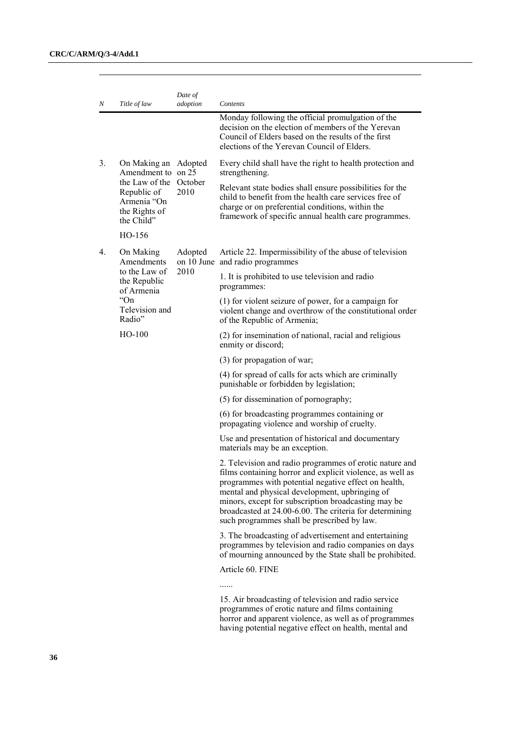| Ν  | Title of law                                                                                                              | Date of<br>adoption | Contents                                                                                                                                                                                                                                                                                                                                                                                        |
|----|---------------------------------------------------------------------------------------------------------------------------|---------------------|-------------------------------------------------------------------------------------------------------------------------------------------------------------------------------------------------------------------------------------------------------------------------------------------------------------------------------------------------------------------------------------------------|
|    |                                                                                                                           |                     | Monday following the official promulgation of the<br>decision on the election of members of the Yerevan<br>Council of Elders based on the results of the first<br>elections of the Yerevan Council of Elders.                                                                                                                                                                                   |
| 3. | On Making an Adopted<br>Amendment to on 25<br>the Law of the<br>Republic of<br>Armenia "On<br>the Rights of<br>the Child" | October<br>2010     | Every child shall have the right to health protection and<br>strengthening.                                                                                                                                                                                                                                                                                                                     |
|    |                                                                                                                           |                     | Relevant state bodies shall ensure possibilities for the<br>child to benefit from the health care services free of<br>charge or on preferential conditions, within the<br>framework of specific annual health care programmes.                                                                                                                                                                  |
|    | HO-156                                                                                                                    |                     |                                                                                                                                                                                                                                                                                                                                                                                                 |
| 4. | On Making<br>Amendments                                                                                                   | Adopted             | Article 22. Impermissibility of the abuse of television<br>on 10 June and radio programmes                                                                                                                                                                                                                                                                                                      |
|    | to the Law of<br>the Republic<br>of Armenia                                                                               | 2010                | 1. It is prohibited to use television and radio<br>programmes:                                                                                                                                                                                                                                                                                                                                  |
|    | "On"<br>Television and<br>Radio"                                                                                          |                     | (1) for violent seizure of power, for a campaign for<br>violent change and overthrow of the constitutional order<br>of the Republic of Armenia;                                                                                                                                                                                                                                                 |
|    | $HO-100$                                                                                                                  |                     | (2) for insemination of national, racial and religious<br>enmity or discord;                                                                                                                                                                                                                                                                                                                    |
|    |                                                                                                                           |                     | (3) for propagation of war;                                                                                                                                                                                                                                                                                                                                                                     |
|    |                                                                                                                           |                     | (4) for spread of calls for acts which are criminally<br>punishable or forbidden by legislation;                                                                                                                                                                                                                                                                                                |
|    |                                                                                                                           |                     | (5) for dissemination of pornography;                                                                                                                                                                                                                                                                                                                                                           |
|    |                                                                                                                           |                     | (6) for broadcasting programmes containing or<br>propagating violence and worship of cruelty.                                                                                                                                                                                                                                                                                                   |
|    |                                                                                                                           |                     | Use and presentation of historical and documentary<br>materials may be an exception.                                                                                                                                                                                                                                                                                                            |
|    |                                                                                                                           |                     | 2. Television and radio programmes of erotic nature and<br>films containing horror and explicit violence, as well as<br>programmes with potential negative effect on health,<br>mental and physical development, upbringing of<br>minors, except for subscription broadcasting may be<br>broadcasted at 24.00-6.00. The criteria for determining<br>such programmes shall be prescribed by law. |
|    |                                                                                                                           |                     | 3. The broadcasting of advertisement and entertaining<br>programmes by television and radio companies on days<br>of mourning announced by the State shall be prohibited.                                                                                                                                                                                                                        |
|    |                                                                                                                           |                     | Article 60. FINE                                                                                                                                                                                                                                                                                                                                                                                |
|    |                                                                                                                           |                     |                                                                                                                                                                                                                                                                                                                                                                                                 |
|    |                                                                                                                           |                     | 15. Air broadcasting of television and radio service<br>programmes of erotic nature and films containing                                                                                                                                                                                                                                                                                        |

horror and apparent violence, as well as of programmes having potential negative effect on health, mental and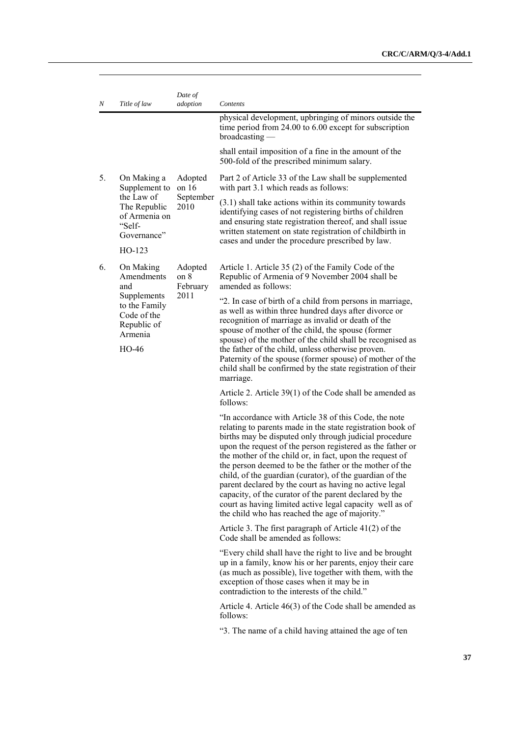| Ν  | Title of law                                                                     | Date of<br>adoption         | Contents                                                                                                                                                                                                                                                                                                                                                                                                                                                                                                                                                                                                                                                          |
|----|----------------------------------------------------------------------------------|-----------------------------|-------------------------------------------------------------------------------------------------------------------------------------------------------------------------------------------------------------------------------------------------------------------------------------------------------------------------------------------------------------------------------------------------------------------------------------------------------------------------------------------------------------------------------------------------------------------------------------------------------------------------------------------------------------------|
|    |                                                                                  |                             | physical development, upbringing of minors outside the<br>time period from $24.00$ to $6.00$ except for subscription<br>broadcasting                                                                                                                                                                                                                                                                                                                                                                                                                                                                                                                              |
|    |                                                                                  |                             | shall entail imposition of a fine in the amount of the<br>500-fold of the prescribed minimum salary.                                                                                                                                                                                                                                                                                                                                                                                                                                                                                                                                                              |
| 5. | On Making a<br>Supplement to                                                     | Adopted<br>on $16$          | Part 2 of Article 33 of the Law shall be supplemented<br>with part 3.1 which reads as follows:                                                                                                                                                                                                                                                                                                                                                                                                                                                                                                                                                                    |
|    | the Law of<br>The Republic<br>of Armenia on<br>"Self-<br>Governance"<br>$HO-123$ | September<br>2010           | $(3.1)$ shall take actions within its community towards<br>identifying cases of not registering births of children<br>and ensuring state registration thereof, and shall issue<br>written statement on state registration of childbirth in<br>cases and under the procedure prescribed by law.                                                                                                                                                                                                                                                                                                                                                                    |
| 6. | On Making<br>Amendments<br>and                                                   | Adopted<br>on 8<br>February | Article 1. Article 35 (2) of the Family Code of the<br>Republic of Armenia of 9 November 2004 shall be<br>amended as follows:                                                                                                                                                                                                                                                                                                                                                                                                                                                                                                                                     |
|    | Supplements<br>to the Family<br>Code of the<br>Republic of<br>Armenia<br>HO-46   | 2011                        | "2. In case of birth of a child from persons in marriage,<br>as well as within three hundred days after divorce or<br>recognition of marriage as invalid or death of the<br>spouse of mother of the child, the spouse (former<br>spouse) of the mother of the child shall be recognised as<br>the father of the child, unless otherwise proven.<br>Paternity of the spouse (former spouse) of mother of the<br>child shall be confirmed by the state registration of their<br>marriage.                                                                                                                                                                           |
|    |                                                                                  |                             | Article 2. Article 39(1) of the Code shall be amended as<br>follows:                                                                                                                                                                                                                                                                                                                                                                                                                                                                                                                                                                                              |
|    |                                                                                  |                             | "In accordance with Article 38 of this Code, the note<br>relating to parents made in the state registration book of<br>births may be disputed only through judicial procedure<br>upon the request of the person registered as the father or<br>the mother of the child or, in fact, upon the request of<br>the person deemed to be the father or the mother of the<br>child, of the guardian (curator), of the guardian of the<br>parent declared by the court as having no active legal<br>capacity, of the curator of the parent declared by the<br>court as having limited active legal capacity well as of<br>the child who has reached the age of majority." |
|    |                                                                                  |                             | Article 3. The first paragraph of Article $41(2)$ of the<br>Code shall be amended as follows:                                                                                                                                                                                                                                                                                                                                                                                                                                                                                                                                                                     |
|    |                                                                                  |                             | "Every child shall have the right to live and be brought<br>up in a family, know his or her parents, enjoy their care<br>(as much as possible), live together with them, with the<br>exception of those cases when it may be in<br>contradiction to the interests of the child."                                                                                                                                                                                                                                                                                                                                                                                  |
|    |                                                                                  |                             | Article 4. Article $46(3)$ of the Code shall be amended as<br>follows:                                                                                                                                                                                                                                                                                                                                                                                                                                                                                                                                                                                            |
|    |                                                                                  |                             | "3. The name of a child having attained the age of ten                                                                                                                                                                                                                                                                                                                                                                                                                                                                                                                                                                                                            |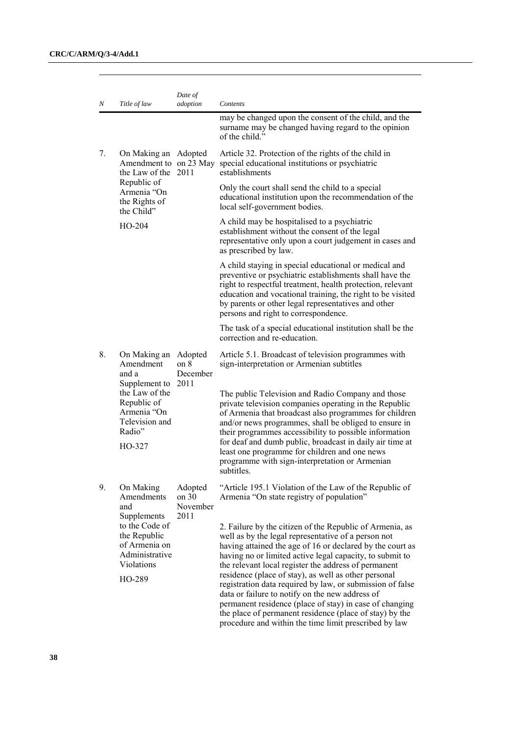| Ν  | Title of law                                                                                             | Date of<br>adoption                            | Contents                                                                                                                                                                                                                                                                                                                                                                                                                                                                                                                                                                                                                                                |
|----|----------------------------------------------------------------------------------------------------------|------------------------------------------------|---------------------------------------------------------------------------------------------------------------------------------------------------------------------------------------------------------------------------------------------------------------------------------------------------------------------------------------------------------------------------------------------------------------------------------------------------------------------------------------------------------------------------------------------------------------------------------------------------------------------------------------------------------|
|    |                                                                                                          |                                                | may be changed upon the consent of the child, and the<br>surname may be changed having regard to the opinion<br>of the child"                                                                                                                                                                                                                                                                                                                                                                                                                                                                                                                           |
| 7. | On Making an Adopted<br>the Law of the 2011<br>Republic of<br>Armenia "On<br>the Rights of<br>the Child" |                                                | Article 32. Protection of the rights of the child in<br>Amendment to on 23 May special educational institutions or psychiatric<br>establishments                                                                                                                                                                                                                                                                                                                                                                                                                                                                                                        |
|    |                                                                                                          |                                                | Only the court shall send the child to a special<br>educational institution upon the recommendation of the<br>local self-government bodies.                                                                                                                                                                                                                                                                                                                                                                                                                                                                                                             |
|    | $HO-204$                                                                                                 |                                                | A child may be hospitalised to a psychiatric<br>establishment without the consent of the legal<br>representative only upon a court judgement in cases and<br>as prescribed by law.                                                                                                                                                                                                                                                                                                                                                                                                                                                                      |
|    |                                                                                                          |                                                | A child staying in special educational or medical and<br>preventive or psychiatric establishments shall have the<br>right to respectful treatment, health protection, relevant<br>education and vocational training, the right to be visited<br>by parents or other legal representatives and other<br>persons and right to correspondence.                                                                                                                                                                                                                                                                                                             |
|    |                                                                                                          |                                                | The task of a special educational institution shall be the<br>correction and re-education.                                                                                                                                                                                                                                                                                                                                                                                                                                                                                                                                                              |
| 8. | On Making an<br>Amendment<br>and a<br>Supplement to<br>the Law of the<br>Republic of<br>Armenia "On      | Adopted<br>on <sub>8</sub><br>December<br>2011 | Article 5.1. Broadcast of television programmes with<br>sign-interpretation or Armenian subtitles<br>The public Television and Radio Company and those<br>private television companies operating in the Republic<br>of Armenia that broadcast also programmes for children                                                                                                                                                                                                                                                                                                                                                                              |
|    | Television and<br>Radio"                                                                                 |                                                | and/or news programmes, shall be obliged to ensure in<br>their programmes accessibility to possible information                                                                                                                                                                                                                                                                                                                                                                                                                                                                                                                                         |
|    | HO-327                                                                                                   |                                                | for deaf and dumb public, broadcast in daily air time at<br>least one programme for children and one news<br>programme with sign-interpretation or Armenian<br>subtitles                                                                                                                                                                                                                                                                                                                                                                                                                                                                                |
| 9. | On Making<br>Amendments<br>and                                                                           | Adopted<br>on $30$<br>November<br>2011         | "Article 195.1 Violation of the Law of the Republic of<br>Armenia "On state registry of population"                                                                                                                                                                                                                                                                                                                                                                                                                                                                                                                                                     |
|    | Supplements<br>to the Code of<br>the Republic<br>of Armenia on<br>Administrative<br>Violations<br>HO-289 |                                                | 2. Failure by the citizen of the Republic of Armenia, as<br>well as by the legal representative of a person not<br>having attained the age of 16 or declared by the court as<br>having no or limited active legal capacity, to submit to<br>the relevant local register the address of permanent<br>residence (place of stay), as well as other personal<br>registration data required by law, or submission of false<br>data or failure to notify on the new address of<br>permanent residence (place of stay) in case of changing<br>the place of permanent residence (place of stay) by the<br>procedure and within the time limit prescribed by law |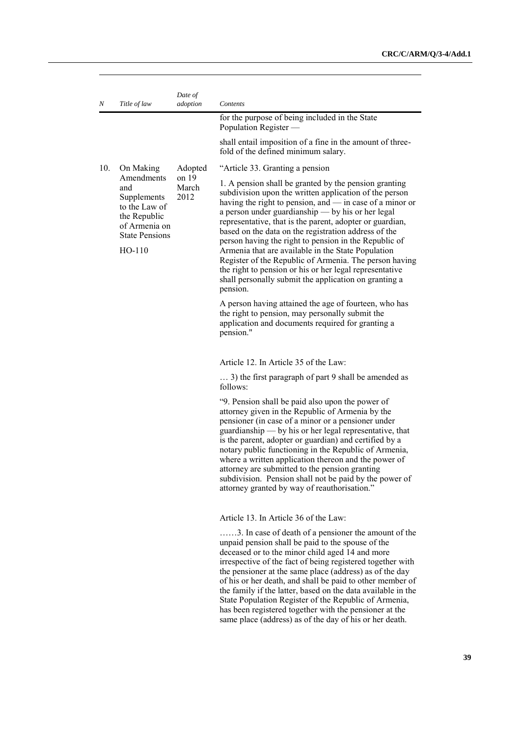| Ν   | Title of law                                                                                                            | Date of<br>adoption    | Contents                                                                                                                                                                                                                                                                                                                                                                                                                                                                                                                                                                                                                                                      |
|-----|-------------------------------------------------------------------------------------------------------------------------|------------------------|---------------------------------------------------------------------------------------------------------------------------------------------------------------------------------------------------------------------------------------------------------------------------------------------------------------------------------------------------------------------------------------------------------------------------------------------------------------------------------------------------------------------------------------------------------------------------------------------------------------------------------------------------------------|
|     |                                                                                                                         |                        | for the purpose of being included in the State<br>Population Register -                                                                                                                                                                                                                                                                                                                                                                                                                                                                                                                                                                                       |
|     |                                                                                                                         |                        | shall entail imposition of a fine in the amount of three-<br>fold of the defined minimum salary.                                                                                                                                                                                                                                                                                                                                                                                                                                                                                                                                                              |
| 10. | On Making                                                                                                               | Adopted                | "Article 33. Granting a pension                                                                                                                                                                                                                                                                                                                                                                                                                                                                                                                                                                                                                               |
|     | Amendments<br>and<br>Supplements<br>to the Law of<br>the Republic<br>of Armenia on<br><b>State Pensions</b><br>$HO-110$ | on 19<br>March<br>2012 | 1. A pension shall be granted by the pension granting<br>subdivision upon the written application of the person<br>having the right to pension, and — in case of a minor or<br>a person under guardianship — by his or her legal<br>representative, that is the parent, adopter or guardian,<br>based on the data on the registration address of the<br>person having the right to pension in the Republic of<br>Armenia that are available in the State Population<br>Register of the Republic of Armenia. The person having<br>the right to pension or his or her legal representative<br>shall personally submit the application on granting a<br>pension. |
|     |                                                                                                                         |                        | A person having attained the age of fourteen, who has<br>the right to pension, may personally submit the<br>application and documents required for granting a<br>pension."                                                                                                                                                                                                                                                                                                                                                                                                                                                                                    |
|     |                                                                                                                         |                        | Article 12. In Article 35 of the Law:                                                                                                                                                                                                                                                                                                                                                                                                                                                                                                                                                                                                                         |
|     |                                                                                                                         |                        | 3) the first paragraph of part 9 shall be amended as<br>follows:                                                                                                                                                                                                                                                                                                                                                                                                                                                                                                                                                                                              |
|     |                                                                                                                         |                        | "9. Pension shall be paid also upon the power of<br>attorney given in the Republic of Armenia by the<br>pensioner (in case of a minor or a pensioner under<br>guardianship — by his or her legal representative, that<br>is the parent, adopter or guardian) and certified by a<br>notary public functioning in the Republic of Armenia,<br>where a written application thereon and the power of<br>attorney are submitted to the pension granting<br>subdivision. Pension shall not be paid by the power of<br>attorney granted by way of reauthorisation."                                                                                                  |
|     |                                                                                                                         |                        | Article 13. In Article 36 of the Law:                                                                                                                                                                                                                                                                                                                                                                                                                                                                                                                                                                                                                         |
|     |                                                                                                                         |                        | 3. In case of death of a pensioner the amount of the<br>unpaid pension shall be paid to the spouse of the<br>deceased or to the minor child aged 14 and more<br>irrespective of the fact of being registered together with<br>the pensioner at the same place (address) as of the day<br>of his or her death, and shall be paid to other member of<br>the family if the latter, based on the data available in the<br>State Population Register of the Republic of Armenia,<br>has been registered together with the pensioner at the                                                                                                                         |

same place (address) as of the day of his or her death.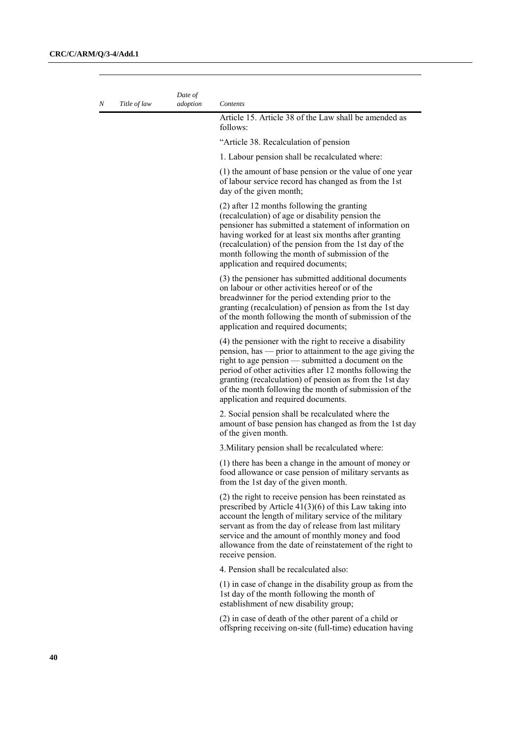| Ν | Title of law | Date of<br>adoption | Contents                                                                                                                                                                                                                                                                                                                                                                                          |
|---|--------------|---------------------|---------------------------------------------------------------------------------------------------------------------------------------------------------------------------------------------------------------------------------------------------------------------------------------------------------------------------------------------------------------------------------------------------|
|   |              |                     | Article 15. Article 38 of the Law shall be amended as<br>follows:                                                                                                                                                                                                                                                                                                                                 |
|   |              |                     | "Article 38. Recalculation of pension                                                                                                                                                                                                                                                                                                                                                             |
|   |              |                     | 1. Labour pension shall be recalculated where:                                                                                                                                                                                                                                                                                                                                                    |
|   |              |                     | (1) the amount of base pension or the value of one year<br>of labour service record has changed as from the 1st<br>day of the given month;                                                                                                                                                                                                                                                        |
|   |              |                     | (2) after 12 months following the granting<br>(recalculation) of age or disability pension the<br>pensioner has submitted a statement of information on<br>having worked for at least six months after granting<br>(recalculation) of the pension from the 1st day of the<br>month following the month of submission of the<br>application and required documents;                                |
|   |              |                     | (3) the pensioner has submitted additional documents<br>on labour or other activities hereof or of the<br>breadwinner for the period extending prior to the<br>granting (recalculation) of pension as from the 1st day<br>of the month following the month of submission of the<br>application and required documents;                                                                            |
|   |              |                     | (4) the pensioner with the right to receive a disability<br>pension, has — prior to attainment to the age giving the<br>right to age pension — submitted a document on the<br>period of other activities after 12 months following the<br>granting (recalculation) of pension as from the 1st day<br>of the month following the month of submission of the<br>application and required documents. |
|   |              |                     | 2. Social pension shall be recalculated where the<br>amount of base pension has changed as from the 1st day<br>of the given month.                                                                                                                                                                                                                                                                |
|   |              |                     | 3. Military pension shall be recalculated where:                                                                                                                                                                                                                                                                                                                                                  |
|   |              |                     | (1) there has been a change in the amount of money or<br>food allowance or case pension of military servants as<br>from the 1st day of the given month.                                                                                                                                                                                                                                           |
|   |              |                     | (2) the right to receive pension has been reinstated as<br>prescribed by Article $41(3)(6)$ of this Law taking into<br>account the length of military service of the military<br>servant as from the day of release from last military<br>service and the amount of monthly money and food<br>allowance from the date of reinstatement of the right to<br>receive pension.                        |
|   |              |                     | 4. Pension shall be recalculated also:                                                                                                                                                                                                                                                                                                                                                            |
|   |              |                     | (1) in case of change in the disability group as from the<br>1st day of the month following the month of<br>establishment of new disability group;                                                                                                                                                                                                                                                |
|   |              |                     | (2) in case of death of the other parent of a child or<br>offspring receiving on-site (full-time) education having                                                                                                                                                                                                                                                                                |
|   |              |                     |                                                                                                                                                                                                                                                                                                                                                                                                   |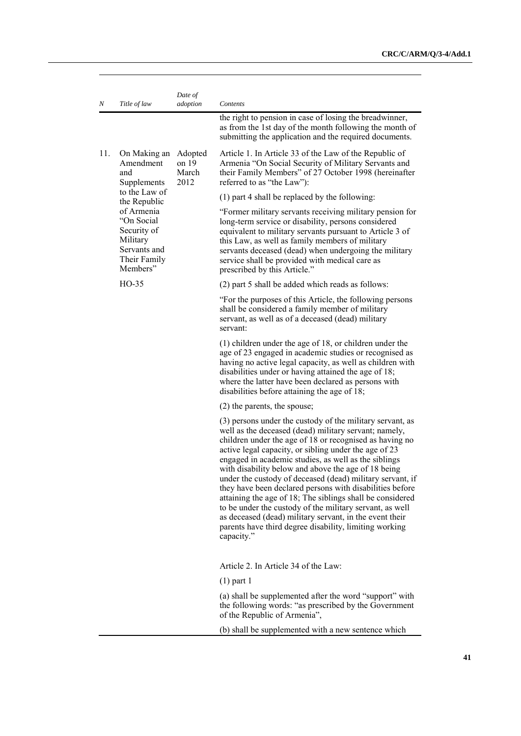| Ν   | Title of law                                                                                    | Date of<br>adoption               | Contents                                                                                                                                                                                                                                                                                                                                                                                                                                                                                                                                                                                                                                                                                                                     |
|-----|-------------------------------------------------------------------------------------------------|-----------------------------------|------------------------------------------------------------------------------------------------------------------------------------------------------------------------------------------------------------------------------------------------------------------------------------------------------------------------------------------------------------------------------------------------------------------------------------------------------------------------------------------------------------------------------------------------------------------------------------------------------------------------------------------------------------------------------------------------------------------------------|
|     |                                                                                                 |                                   | the right to pension in case of losing the breadwinner,<br>as from the 1st day of the month following the month of<br>submitting the application and the required documents.                                                                                                                                                                                                                                                                                                                                                                                                                                                                                                                                                 |
| 11. | On Making an<br>Amendment<br>and<br>Supplements                                                 | Adopted<br>on 19<br>March<br>2012 | Article 1. In Article 33 of the Law of the Republic of<br>Armenia "On Social Security of Military Servants and<br>their Family Members" of 27 October 1998 (hereinafter<br>referred to as "the Law"):                                                                                                                                                                                                                                                                                                                                                                                                                                                                                                                        |
|     | to the Law of<br>the Republic                                                                   |                                   | (1) part 4 shall be replaced by the following:                                                                                                                                                                                                                                                                                                                                                                                                                                                                                                                                                                                                                                                                               |
|     | of Armenia<br>"On Social<br>Security of<br>Military<br>Servants and<br>Their Family<br>Members" |                                   | "Former military servants receiving military pension for<br>long-term service or disability, persons considered<br>equivalent to military servants pursuant to Article 3 of<br>this Law, as well as family members of military<br>servants deceased (dead) when undergoing the military<br>service shall be provided with medical care as<br>prescribed by this Article."                                                                                                                                                                                                                                                                                                                                                    |
|     | HO-35                                                                                           |                                   | (2) part 5 shall be added which reads as follows:                                                                                                                                                                                                                                                                                                                                                                                                                                                                                                                                                                                                                                                                            |
|     |                                                                                                 |                                   | "For the purposes of this Article, the following persons<br>shall be considered a family member of military<br>servant, as well as of a deceased (dead) military<br>servant:                                                                                                                                                                                                                                                                                                                                                                                                                                                                                                                                                 |
|     |                                                                                                 |                                   | $(1)$ children under the age of 18, or children under the<br>age of 23 engaged in academic studies or recognised as<br>having no active legal capacity, as well as children with<br>disabilities under or having attained the age of 18;<br>where the latter have been declared as persons with<br>disabilities before attaining the age of 18;                                                                                                                                                                                                                                                                                                                                                                              |
|     |                                                                                                 |                                   | (2) the parents, the spouse;                                                                                                                                                                                                                                                                                                                                                                                                                                                                                                                                                                                                                                                                                                 |
|     |                                                                                                 | capacity."                        | (3) persons under the custody of the military servant, as<br>well as the deceased (dead) military servant; namely,<br>children under the age of 18 or recognised as having no<br>active legal capacity, or sibling under the age of 23<br>engaged in academic studies, as well as the siblings<br>with disability below and above the age of 18 being<br>under the custody of deceased (dead) military servant, if<br>they have been declared persons with disabilities before<br>attaining the age of 18; The siblings shall be considered<br>to be under the custody of the military servant, as well<br>as deceased (dead) military servant, in the event their<br>parents have third degree disability, limiting working |
|     |                                                                                                 |                                   | Article 2. In Article 34 of the Law:                                                                                                                                                                                                                                                                                                                                                                                                                                                                                                                                                                                                                                                                                         |
|     |                                                                                                 |                                   | $(1)$ part 1                                                                                                                                                                                                                                                                                                                                                                                                                                                                                                                                                                                                                                                                                                                 |
|     |                                                                                                 |                                   | (a) shall be supplemented after the word "support" with<br>the following words: "as prescribed by the Government<br>of the Republic of Armenia",                                                                                                                                                                                                                                                                                                                                                                                                                                                                                                                                                                             |

(b) shall be supplemented with a new sentence which